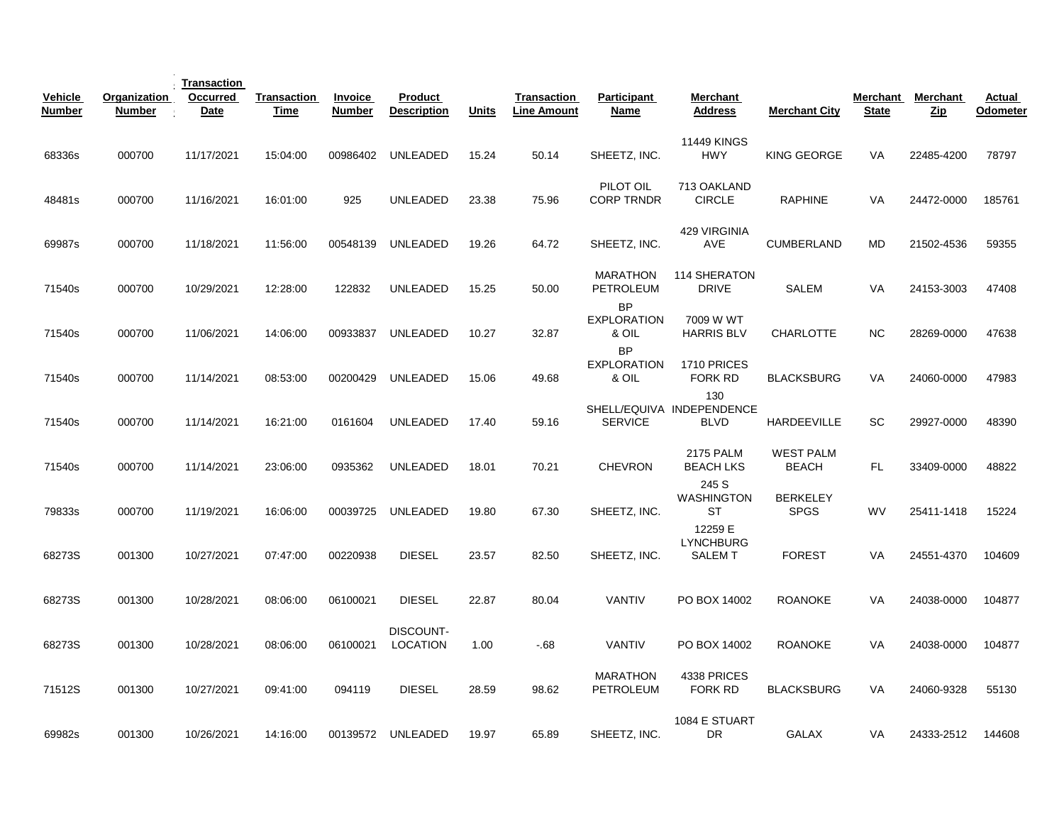| Vehicle<br><b>Number</b> | Organization<br>Number | Transaction<br><b>Occurred</b><br>Date | <b>Transaction</b><br>Time | <b>Invoice</b><br><b>Number</b> | Product<br><b>Description</b> | <b>Units</b> | <b>Transaction</b><br><b>Line Amount</b> | Participant<br>Name                      | Merchant<br><b>Address</b>                      | <b>Merchant City</b>             | <b>Merchant</b><br><b>State</b> | <b>Merchant</b><br><u>Zip</u> | Actual<br>Odometer |
|--------------------------|------------------------|----------------------------------------|----------------------------|---------------------------------|-------------------------------|--------------|------------------------------------------|------------------------------------------|-------------------------------------------------|----------------------------------|---------------------------------|-------------------------------|--------------------|
| 68336s                   | 000700                 | 11/17/2021                             | 15:04:00                   | 00986402                        | UNLEADED                      | 15.24        | 50.14                                    | SHEETZ, INC.                             | <b>11449 KINGS</b><br><b>HWY</b>                | KING GEORGE                      | <b>VA</b>                       | 22485-4200                    | 78797              |
| 48481s                   | 000700                 | 11/16/2021                             | 16:01:00                   | 925                             | <b>UNLEADED</b>               | 23.38        | 75.96                                    | PILOT OIL<br><b>CORP TRNDR</b>           | 713 OAKLAND<br><b>CIRCLE</b>                    | <b>RAPHINE</b>                   | VA                              | 24472-0000                    | 185761             |
| 69987s                   | 000700                 | 11/18/2021                             | 11:56:00                   | 00548139                        | <b>UNLEADED</b>               | 19.26        | 64.72                                    | SHEETZ, INC.                             | 429 VIRGINIA<br><b>AVE</b>                      | <b>CUMBERLAND</b>                | <b>MD</b>                       | 21502-4536                    | 59355              |
| 71540s                   | 000700                 | 10/29/2021                             | 12:28:00                   | 122832                          | UNLEADED                      | 15.25        | 50.00                                    | <b>MARATHON</b><br>PETROLEUM             | 114 SHERATON<br><b>DRIVE</b>                    | <b>SALEM</b>                     | VA                              | 24153-3003                    | 47408              |
| 71540s                   | 000700                 | 11/06/2021                             | 14:06:00                   | 00933837                        | <b>UNLEADED</b>               | 10.27        | 32.87                                    | <b>BP</b><br><b>EXPLORATION</b><br>& OIL | 7009 W WT<br><b>HARRIS BLV</b>                  | <b>CHARLOTTE</b>                 | <b>NC</b>                       | 28269-0000                    | 47638              |
| 71540s                   | 000700                 | 11/14/2021                             | 08:53:00                   | 00200429                        | <b>UNLEADED</b>               | 15.06        | 49.68                                    | <b>BP</b><br><b>EXPLORATION</b><br>& OIL | 1710 PRICES<br>FORK RD                          | <b>BLACKSBURG</b>                | <b>VA</b>                       | 24060-0000                    | 47983              |
| 71540s                   | 000700                 | 11/14/2021                             | 16:21:00                   | 0161604                         | <b>UNLEADED</b>               | 17.40        | 59.16                                    | <b>SERVICE</b>                           | 130<br>SHELL/EQUIVA INDEPENDENCE<br><b>BLVD</b> | HARDEEVILLE                      | <b>SC</b>                       | 29927-0000                    | 48390              |
| 71540s                   | 000700                 | 11/14/2021                             | 23:06:00                   | 0935362                         | <b>UNLEADED</b>               | 18.01        | 70.21                                    | <b>CHEVRON</b>                           | <b>2175 PALM</b><br><b>BEACH LKS</b>            | <b>WEST PALM</b><br><b>BEACH</b> | FL.                             | 33409-0000                    | 48822              |
| 79833s                   | 000700                 | 11/19/2021                             | 16:06:00                   | 00039725                        | <b>UNLEADED</b>               | 19.80        | 67.30                                    | SHEETZ, INC.                             | 245 S<br><b>WASHINGTON</b><br>ST                | <b>BERKELEY</b><br><b>SPGS</b>   | <b>WV</b>                       | 25411-1418                    | 15224              |
| 68273S                   | 001300                 | 10/27/2021                             | 07:47:00                   | 00220938                        | <b>DIESEL</b>                 | 23.57        | 82.50                                    | SHEETZ, INC.                             | 12259 E<br><b>LYNCHBURG</b><br><b>SALEMT</b>    | <b>FOREST</b>                    | <b>VA</b>                       | 24551-4370                    | 104609             |
| 68273S                   | 001300                 | 10/28/2021                             | 08:06:00                   | 06100021                        | <b>DIESEL</b>                 | 22.87        | 80.04                                    | <b>VANTIV</b>                            | PO BOX 14002                                    | <b>ROANOKE</b>                   | <b>VA</b>                       | 24038-0000                    | 104877             |
| 68273S                   | 001300                 | 10/28/2021                             | 08:06:00                   | 06100021                        | DISCOUNT-<br>LOCATION         | 1.00         | $-68$                                    | <b>VANTIV</b>                            | PO BOX 14002                                    | <b>ROANOKE</b>                   | <b>VA</b>                       | 24038-0000                    | 104877             |
| 71512S                   | 001300                 | 10/27/2021                             | 09:41:00                   | 094119                          | <b>DIESEL</b>                 | 28.59        | 98.62                                    | <b>MARATHON</b><br><b>PETROLEUM</b>      | 4338 PRICES<br>FORK RD                          | <b>BLACKSBURG</b>                | <b>VA</b>                       | 24060-9328                    | 55130              |
| 69982s                   | 001300                 | 10/26/2021                             | 14:16:00                   |                                 | 00139572 UNLEADED             | 19.97        | 65.89                                    | SHEETZ, INC.                             | 1084 E STUART<br>DR                             | GALAX                            | VA                              | 24333-2512                    | 144608             |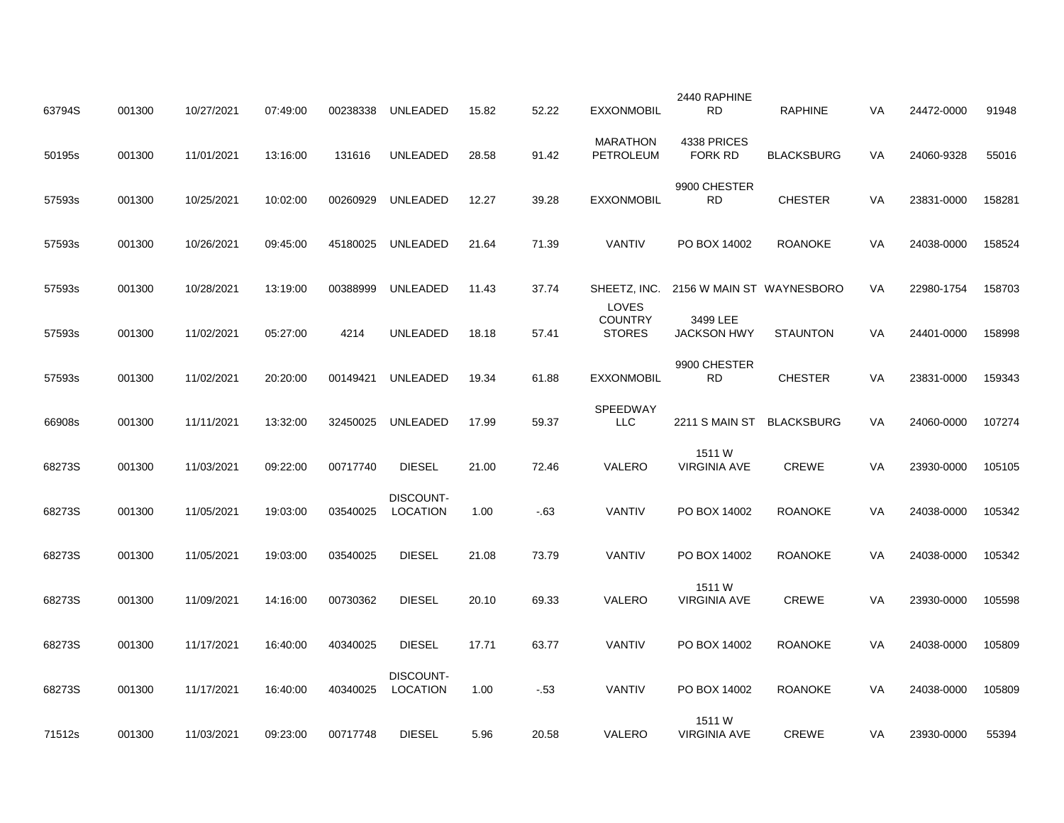| 63794S | 001300 | 10/27/2021 | 07:49:00 | 00238338 | UNLEADED                     | 15.82 | 52.22 | <b>EXXONMOBIL</b>                        | 2440 RAPHINE<br><b>RD</b>      | <b>RAPHINE</b>    | VA | 24472-0000 | 91948  |
|--------|--------|------------|----------|----------|------------------------------|-------|-------|------------------------------------------|--------------------------------|-------------------|----|------------|--------|
| 50195s | 001300 | 11/01/2021 | 13:16:00 | 131616   | <b>UNLEADED</b>              | 28.58 | 91.42 | <b>MARATHON</b><br>PETROLEUM             | 4338 PRICES<br><b>FORK RD</b>  | <b>BLACKSBURG</b> | VA | 24060-9328 | 55016  |
| 57593s | 001300 | 10/25/2021 | 10:02:00 | 00260929 | <b>UNLEADED</b>              | 12.27 | 39.28 | <b>EXXONMOBIL</b>                        | 9900 CHESTER<br><b>RD</b>      | <b>CHESTER</b>    | VA | 23831-0000 | 158281 |
| 57593s | 001300 | 10/26/2021 | 09:45:00 | 45180025 | UNLEADED                     | 21.64 | 71.39 | VANTIV                                   | PO BOX 14002                   | <b>ROANOKE</b>    | VA | 24038-0000 | 158524 |
| 57593s | 001300 | 10/28/2021 | 13:19:00 | 00388999 | UNLEADED                     | 11.43 | 37.74 | SHEETZ, INC.                             | 2156 W MAIN ST WAYNESBORO      |                   | VA | 22980-1754 | 158703 |
| 57593s | 001300 | 11/02/2021 | 05:27:00 | 4214     | UNLEADED                     | 18.18 | 57.41 | LOVES<br><b>COUNTRY</b><br><b>STORES</b> | 3499 LEE<br><b>JACKSON HWY</b> | <b>STAUNTON</b>   | VA | 24401-0000 | 158998 |
| 57593s | 001300 | 11/02/2021 | 20:20:00 | 00149421 | UNLEADED                     | 19.34 | 61.88 | <b>EXXONMOBIL</b>                        | 9900 CHESTER<br><b>RD</b>      | <b>CHESTER</b>    | VA | 23831-0000 | 159343 |
| 66908s | 001300 | 11/11/2021 | 13:32:00 | 32450025 | <b>UNLEADED</b>              | 17.99 | 59.37 | SPEEDWAY<br><b>LLC</b>                   | 2211 S MAIN ST                 | <b>BLACKSBURG</b> | VA | 24060-0000 | 107274 |
| 68273S | 001300 | 11/03/2021 | 09:22:00 | 00717740 | <b>DIESEL</b>                | 21.00 | 72.46 | VALERO                                   | 1511 W<br><b>VIRGINIA AVE</b>  | <b>CREWE</b>      | VA | 23930-0000 | 105105 |
| 68273S | 001300 | 11/05/2021 | 19:03:00 | 03540025 | DISCOUNT-<br><b>LOCATION</b> | 1.00  | $-63$ | VANTIV                                   | PO BOX 14002                   | <b>ROANOKE</b>    | VA | 24038-0000 | 105342 |
| 68273S | 001300 | 11/05/2021 | 19:03:00 | 03540025 | <b>DIESEL</b>                | 21.08 | 73.79 | VANTIV                                   | PO BOX 14002                   | <b>ROANOKE</b>    | VA | 24038-0000 | 105342 |
| 68273S | 001300 | 11/09/2021 | 14:16:00 | 00730362 | <b>DIESEL</b>                | 20.10 | 69.33 | VALERO                                   | 1511 W<br><b>VIRGINIA AVE</b>  | <b>CREWE</b>      | VA | 23930-0000 | 105598 |
| 68273S | 001300 | 11/17/2021 | 16:40:00 | 40340025 | <b>DIESEL</b>                | 17.71 | 63.77 | VANTIV                                   | PO BOX 14002                   | <b>ROANOKE</b>    | VA | 24038-0000 | 105809 |
| 68273S | 001300 | 11/17/2021 | 16:40:00 | 40340025 | <b>DISCOUNT-</b><br>LOCATION | 1.00  | $-53$ | VANTIV                                   | PO BOX 14002                   | <b>ROANOKE</b>    | VA | 24038-0000 | 105809 |
| 71512s | 001300 | 11/03/2021 | 09:23:00 | 00717748 | <b>DIESEL</b>                | 5.96  | 20.58 | VALERO                                   | 1511 W<br><b>VIRGINIA AVE</b>  | CREWE             | VA | 23930-0000 | 55394  |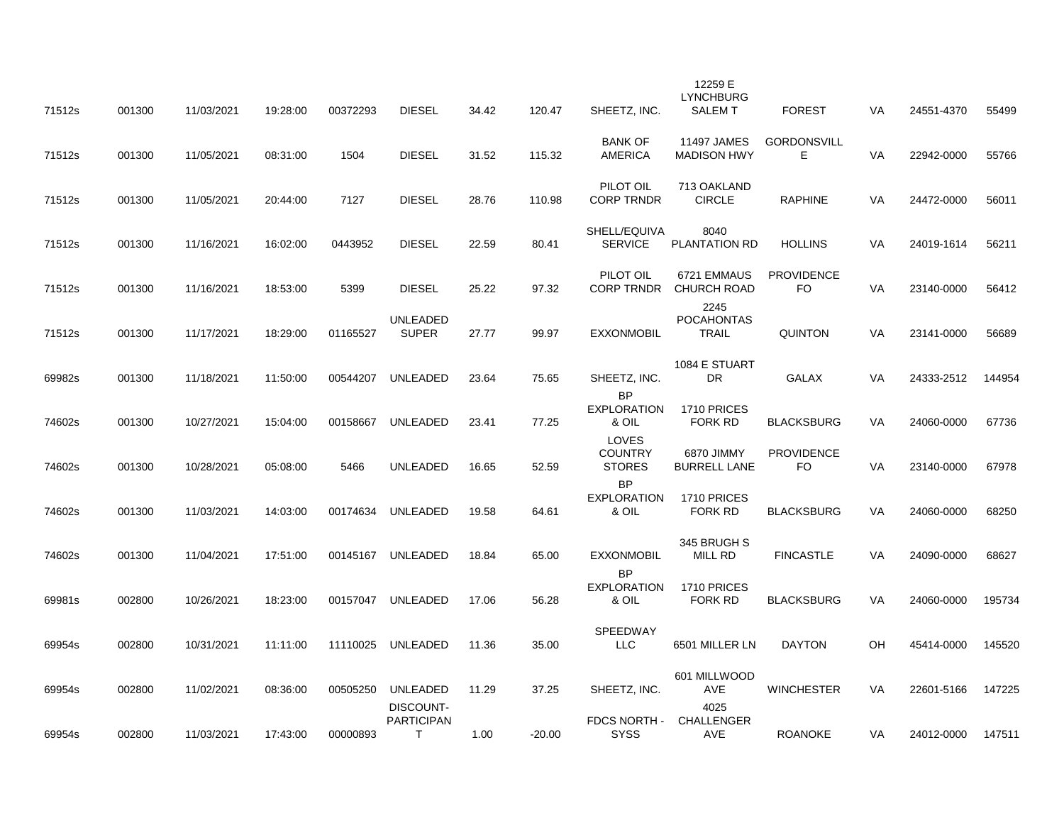| 71512s | 001300 | 11/03/2021 | 19:28:00 | 00372293 | <b>DIESEL</b>                                   | 34.42 | 120.47   | SHEETZ, INC.                             | 12259 E<br><b>LYNCHBURG</b><br><b>SALEMT</b> | <b>FOREST</b>            | VA        | 24551-4370 | 55499  |
|--------|--------|------------|----------|----------|-------------------------------------------------|-------|----------|------------------------------------------|----------------------------------------------|--------------------------|-----------|------------|--------|
| 71512s | 001300 | 11/05/2021 | 08:31:00 | 1504     | <b>DIESEL</b>                                   | 31.52 | 115.32   | <b>BANK OF</b><br><b>AMERICA</b>         | 11497 JAMES<br><b>MADISON HWY</b>            | <b>GORDONSVILL</b><br>E. | VA        | 22942-0000 | 55766  |
| 71512s | 001300 | 11/05/2021 | 20:44:00 | 7127     | <b>DIESEL</b>                                   | 28.76 | 110.98   | PILOT OIL<br><b>CORP TRNDR</b>           | 713 OAKLAND<br><b>CIRCLE</b>                 | <b>RAPHINE</b>           | <b>VA</b> | 24472-0000 | 56011  |
| 71512s | 001300 | 11/16/2021 | 16:02:00 | 0443952  | <b>DIESEL</b>                                   | 22.59 | 80.41    | SHELL/EQUIVA<br><b>SERVICE</b>           | 8040<br>PLANTATION RD                        | <b>HOLLINS</b>           | VA        | 24019-1614 | 56211  |
| 71512s | 001300 | 11/16/2021 | 18:53:00 | 5399     | <b>DIESEL</b>                                   | 25.22 | 97.32    | PILOT OIL<br><b>CORP TRNDR</b>           | 6721 EMMAUS<br><b>CHURCH ROAD</b>            | <b>PROVIDENCE</b><br>FO. | VA        | 23140-0000 | 56412  |
| 71512s | 001300 | 11/17/2021 | 18:29:00 | 01165527 | <b>UNLEADED</b><br><b>SUPER</b>                 | 27.77 | 99.97    | <b>EXXONMOBIL</b>                        | 2245<br><b>POCAHONTAS</b><br><b>TRAIL</b>    | <b>QUINTON</b>           | <b>VA</b> | 23141-0000 | 56689  |
| 69982s | 001300 | 11/18/2021 | 11:50:00 | 00544207 | UNLEADED                                        | 23.64 | 75.65    | SHEETZ, INC.                             | 1084 E STUART<br>DR.                         | <b>GALAX</b>             | VA        | 24333-2512 | 144954 |
| 74602s | 001300 | 10/27/2021 | 15:04:00 | 00158667 | UNLEADED                                        | 23.41 | 77.25    | <b>BP</b><br><b>EXPLORATION</b><br>& OIL | 1710 PRICES<br><b>FORK RD</b>                | <b>BLACKSBURG</b>        | <b>VA</b> | 24060-0000 | 67736  |
| 74602s | 001300 | 10/28/2021 | 05:08:00 | 5466     | <b>UNLEADED</b>                                 | 16.65 | 52.59    | LOVES<br><b>COUNTRY</b><br><b>STORES</b> | 6870 JIMMY<br><b>BURRELL LANE</b>            | <b>PROVIDENCE</b><br>FO. | VA        | 23140-0000 | 67978  |
| 74602s | 001300 | 11/03/2021 | 14:03:00 | 00174634 | UNLEADED                                        | 19.58 | 64.61    | <b>BP</b><br><b>EXPLORATION</b><br>& OIL | 1710 PRICES<br><b>FORK RD</b>                | <b>BLACKSBURG</b>        | <b>VA</b> | 24060-0000 | 68250  |
| 74602s | 001300 | 11/04/2021 | 17:51:00 | 00145167 | UNLEADED                                        | 18.84 | 65.00    | <b>EXXONMOBIL</b>                        | 345 BRUGH S<br>MILL RD                       | <b>FINCASTLE</b>         | <b>VA</b> | 24090-0000 | 68627  |
| 69981s | 002800 | 10/26/2021 | 18:23:00 | 00157047 | UNLEADED                                        | 17.06 | 56.28    | <b>BP</b><br><b>EXPLORATION</b><br>& OIL | 1710 PRICES<br><b>FORK RD</b>                | <b>BLACKSBURG</b>        | <b>VA</b> | 24060-0000 | 195734 |
| 69954s | 002800 | 10/31/2021 | 11:11:00 | 11110025 | <b>UNLEADED</b>                                 | 11.36 | 35.00    | SPEEDWAY<br><b>LLC</b>                   | 6501 MILLER LN                               | <b>DAYTON</b>            | OH        | 45414-0000 | 145520 |
| 69954s | 002800 | 11/02/2021 | 08:36:00 | 00505250 | UNLEADED                                        | 11.29 | 37.25    | SHEETZ, INC.                             | 601 MILLWOOD<br><b>AVE</b>                   | <b>WINCHESTER</b>        | VA        | 22601-5166 | 147225 |
| 69954s | 002800 | 11/03/2021 | 17:43:00 | 00000893 | <b>DISCOUNT-</b><br><b>PARTICIPAN</b><br>$\top$ | 1.00  | $-20.00$ | FDCS NORTH -<br><b>SYSS</b>              | 4025<br><b>CHALLENGER</b><br><b>AVE</b>      | <b>ROANOKE</b>           | VA        | 24012-0000 | 147511 |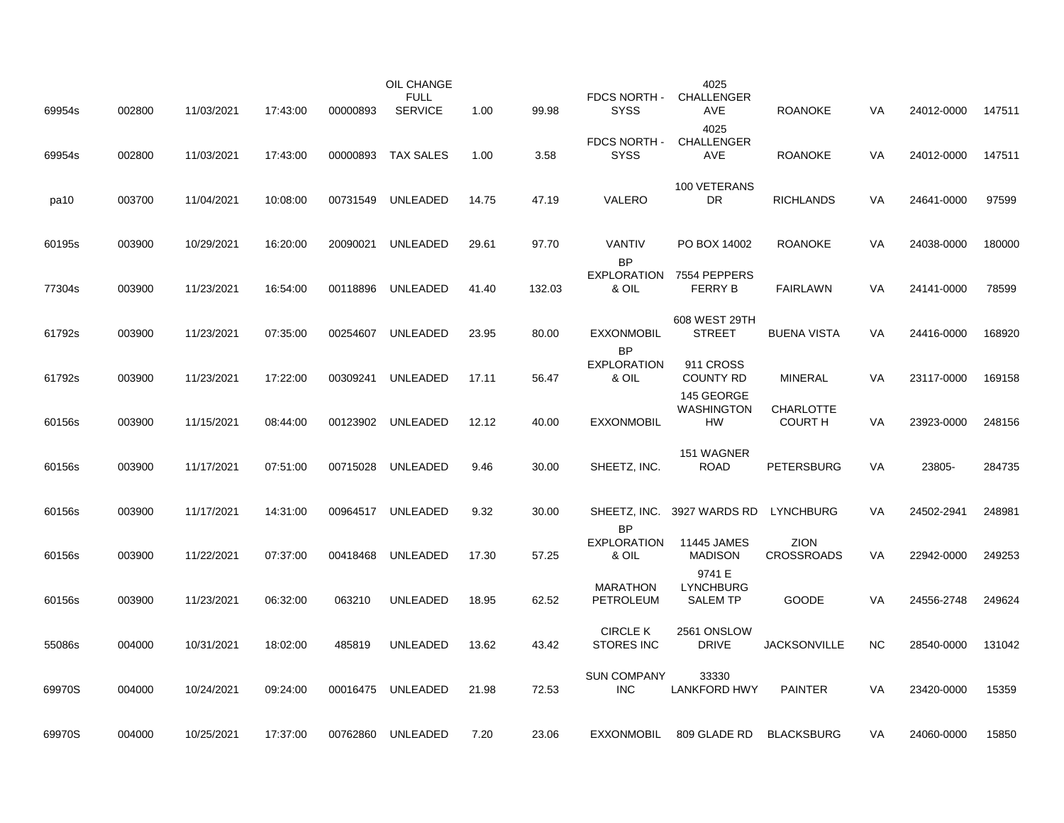| 69954s | 002800 | 11/03/2021 | 17:43:00 | 00000893 | OIL CHANGE<br><b>FULL</b><br><b>SERVICE</b> | 1.00  | 99.98  | FDCS NORTH -<br><b>SYSS</b>          | 4025<br>CHALLENGER<br>AVE                     | <b>ROANOKE</b>                     | VA        | 24012-0000 | 147511 |
|--------|--------|------------|----------|----------|---------------------------------------------|-------|--------|--------------------------------------|-----------------------------------------------|------------------------------------|-----------|------------|--------|
|        |        |            |          |          |                                             |       |        |                                      | 4025                                          |                                    |           |            |        |
| 69954s | 002800 | 11/03/2021 | 17:43:00 | 00000893 | <b>TAX SALES</b>                            | 1.00  | 3.58   | FDCS NORTH -<br><b>SYSS</b>          | <b>CHALLENGER</b><br><b>AVE</b>               | <b>ROANOKE</b>                     | <b>VA</b> | 24012-0000 | 147511 |
| pa10   | 003700 | 11/04/2021 | 10:08:00 | 00731549 | UNLEADED                                    | 14.75 | 47.19  | VALERO                               | 100 VETERANS<br><b>DR</b>                     | <b>RICHLANDS</b>                   | VA        | 24641-0000 | 97599  |
| 60195s | 003900 | 10/29/2021 | 16:20:00 | 20090021 | UNLEADED                                    | 29.61 | 97.70  | <b>VANTIV</b><br><b>BP</b>           | PO BOX 14002                                  | <b>ROANOKE</b>                     | <b>VA</b> | 24038-0000 | 180000 |
| 77304s | 003900 | 11/23/2021 | 16:54:00 | 00118896 | UNLEADED                                    | 41.40 | 132.03 | <b>EXPLORATION</b><br>& OIL          | 7554 PEPPERS<br><b>FERRY B</b>                | <b>FAIRLAWN</b>                    | VA        | 24141-0000 | 78599  |
| 61792s | 003900 | 11/23/2021 | 07:35:00 | 00254607 | UNLEADED                                    | 23.95 | 80.00  | <b>EXXONMOBIL</b><br><b>BP</b>       | 608 WEST 29TH<br><b>STREET</b>                | <b>BUENA VISTA</b>                 | VA        | 24416-0000 | 168920 |
| 61792s | 003900 | 11/23/2021 | 17:22:00 | 00309241 | UNLEADED                                    | 17.11 | 56.47  | <b>EXPLORATION</b><br>& OIL          | 911 CROSS<br>COUNTY RD                        | <b>MINERAL</b>                     | VA        | 23117-0000 | 169158 |
| 60156s | 003900 | 11/15/2021 | 08:44:00 | 00123902 | UNLEADED                                    | 12.12 | 40.00  | <b>EXXONMOBIL</b>                    | 145 GEORGE<br><b>WASHINGTON</b><br>HW         | <b>CHARLOTTE</b><br><b>COURT H</b> | VA        | 23923-0000 | 248156 |
| 60156s | 003900 | 11/17/2021 | 07:51:00 | 00715028 | UNLEADED                                    | 9.46  | 30.00  | SHEETZ, INC.                         | 151 WAGNER<br><b>ROAD</b>                     | <b>PETERSBURG</b>                  | VA        | 23805-     | 284735 |
| 60156s | 003900 | 11/17/2021 | 14:31:00 |          | 00964517 UNLEADED                           | 9.32  | 30.00  | <b>BP</b>                            | SHEETZ, INC. 3927 WARDS RD                    | LYNCHBURG                          | <b>VA</b> | 24502-2941 | 248981 |
| 60156s | 003900 | 11/22/2021 | 07:37:00 | 00418468 | UNLEADED                                    | 17.30 | 57.25  | <b>EXPLORATION</b><br>& OIL          | 11445 JAMES<br><b>MADISON</b>                 | <b>ZION</b><br><b>CROSSROADS</b>   | VA        | 22942-0000 | 249253 |
| 60156s | 003900 | 11/23/2021 | 06:32:00 | 063210   | <b>UNLEADED</b>                             | 18.95 | 62.52  | <b>MARATHON</b><br>PETROLEUM         | 9741 E<br><b>LYNCHBURG</b><br><b>SALEM TP</b> | <b>GOODE</b>                       | <b>VA</b> | 24556-2748 | 249624 |
| 55086s | 004000 | 10/31/2021 | 18:02:00 | 485819   | <b>UNLEADED</b>                             | 13.62 | 43.42  | <b>CIRCLE K</b><br><b>STORES INC</b> | 2561 ONSLOW<br><b>DRIVE</b>                   | <b>JACKSONVILLE</b>                | <b>NC</b> | 28540-0000 | 131042 |
| 69970S | 004000 | 10/24/2021 | 09:24:00 | 00016475 | UNLEADED                                    | 21.98 | 72.53  | <b>SUN COMPANY</b><br><b>INC</b>     | 33330<br><b>LANKFORD HWY</b>                  | <b>PAINTER</b>                     | VA        | 23420-0000 | 15359  |
| 69970S | 004000 | 10/25/2021 | 17:37:00 | 00762860 | UNLEADED                                    | 7.20  | 23.06  | <b>EXXONMOBIL</b>                    | 809 GLADE RD                                  | <b>BLACKSBURG</b>                  | VA        | 24060-0000 | 15850  |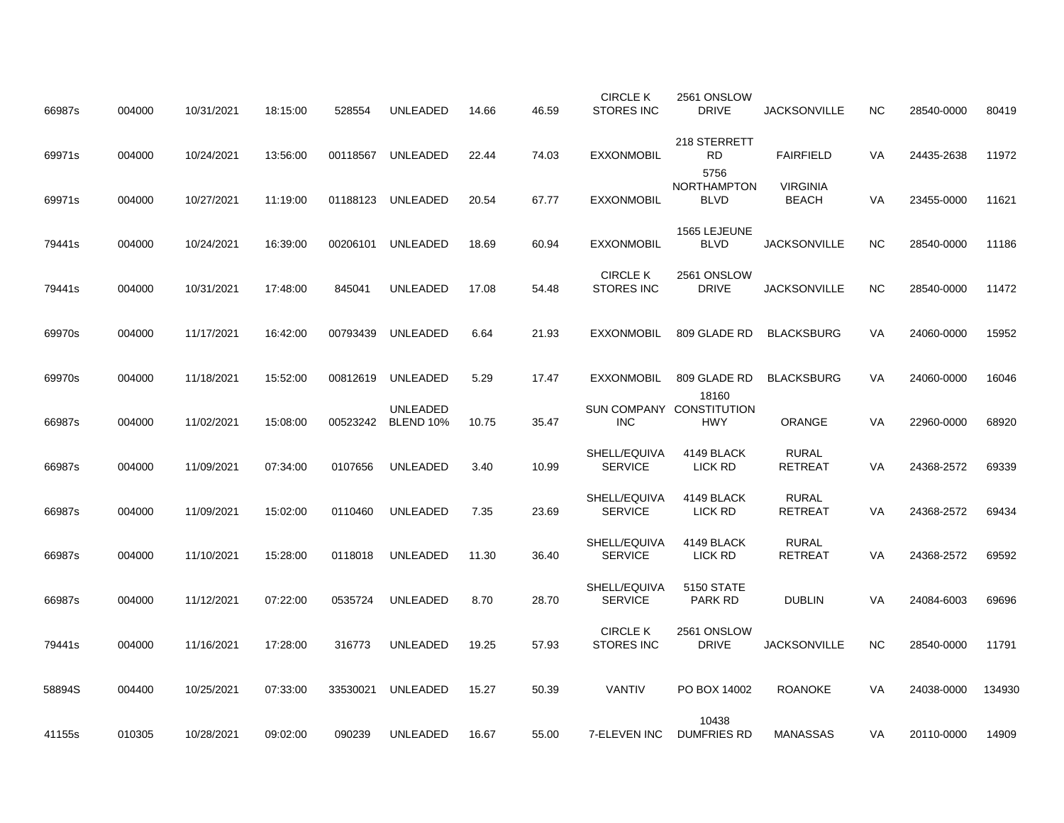| 66987s | 004000 | 10/31/2021 | 18:15:00 | 528554   | <b>UNLEADED</b>              | 14.66 | 46.59 | <b>CIRCLE K</b><br><b>STORES INC</b> | 2561 ONSLOW<br><b>DRIVE</b>                     | <b>JACKSONVILLE</b>             | <b>NC</b> | 28540-0000 | 80419  |
|--------|--------|------------|----------|----------|------------------------------|-------|-------|--------------------------------------|-------------------------------------------------|---------------------------------|-----------|------------|--------|
| 69971s | 004000 | 10/24/2021 | 13:56:00 | 00118567 | UNLEADED                     | 22.44 | 74.03 | <b>EXXONMOBIL</b>                    | 218 STERRETT<br><b>RD</b>                       | <b>FAIRFIELD</b>                | VA        | 24435-2638 | 11972  |
| 69971s | 004000 | 10/27/2021 | 11:19:00 | 01188123 | UNLEADED                     | 20.54 | 67.77 | <b>EXXONMOBIL</b>                    | 5756<br>NORTHAMPTON<br><b>BLVD</b>              | <b>VIRGINIA</b><br><b>BEACH</b> | VA        | 23455-0000 | 11621  |
| 79441s | 004000 | 10/24/2021 | 16:39:00 | 00206101 | UNLEADED                     | 18.69 | 60.94 | <b>EXXONMOBIL</b>                    | 1565 LEJEUNE<br><b>BLVD</b>                     | <b>JACKSONVILLE</b>             | <b>NC</b> | 28540-0000 | 11186  |
| 79441s | 004000 | 10/31/2021 | 17:48:00 | 845041   | <b>UNLEADED</b>              | 17.08 | 54.48 | <b>CIRCLE K</b><br><b>STORES INC</b> | 2561 ONSLOW<br><b>DRIVE</b>                     | <b>JACKSONVILLE</b>             | <b>NC</b> | 28540-0000 | 11472  |
| 69970s | 004000 | 11/17/2021 | 16:42:00 | 00793439 | UNLEADED                     | 6.64  | 21.93 | <b>EXXONMOBIL</b>                    | 809 GLADE RD                                    | <b>BLACKSBURG</b>               | VA        | 24060-0000 | 15952  |
| 69970s | 004000 | 11/18/2021 | 15:52:00 | 00812619 | UNLEADED                     | 5.29  | 17.47 | <b>EXXONMOBIL</b>                    | 809 GLADE RD                                    | <b>BLACKSBURG</b>               | <b>VA</b> | 24060-0000 | 16046  |
| 66987s | 004000 | 11/02/2021 | 15:08:00 | 00523242 | <b>UNLEADED</b><br>BLEND 10% | 10.75 | 35.47 | <b>INC</b>                           | 18160<br>SUN COMPANY CONSTITUTION<br><b>HWY</b> | <b>ORANGE</b>                   | VA        | 22960-0000 | 68920  |
| 66987s | 004000 | 11/09/2021 | 07:34:00 | 0107656  | <b>UNLEADED</b>              | 3.40  | 10.99 | SHELL/EQUIVA<br><b>SERVICE</b>       | 4149 BLACK<br>LICK RD                           | <b>RURAL</b><br><b>RETREAT</b>  | VA        | 24368-2572 | 69339  |
| 66987s | 004000 | 11/09/2021 | 15:02:00 | 0110460  | <b>UNLEADED</b>              | 7.35  | 23.69 | SHELL/EQUIVA<br><b>SERVICE</b>       | 4149 BLACK<br>LICK RD                           | <b>RURAL</b><br><b>RETREAT</b>  | VA        | 24368-2572 | 69434  |
| 66987s | 004000 | 11/10/2021 | 15:28:00 | 0118018  | <b>UNLEADED</b>              | 11.30 | 36.40 | SHELL/EQUIVA<br><b>SERVICE</b>       | 4149 BLACK<br>LICK RD                           | <b>RURAL</b><br><b>RETREAT</b>  | VA        | 24368-2572 | 69592  |
| 66987s | 004000 | 11/12/2021 | 07:22:00 | 0535724  | <b>UNLEADED</b>              | 8.70  | 28.70 | SHELL/EQUIVA<br><b>SERVICE</b>       | 5150 STATE<br>PARK RD                           | <b>DUBLIN</b>                   | VA        | 24084-6003 | 69696  |
| 79441s | 004000 | 11/16/2021 | 17:28:00 | 316773   | UNLEADED                     | 19.25 | 57.93 | <b>CIRCLE K</b><br><b>STORES INC</b> | 2561 ONSLOW<br><b>DRIVE</b>                     | <b>JACKSONVILLE</b>             | <b>NC</b> | 28540-0000 | 11791  |
|        |        |            |          |          |                              |       |       | VANTIV                               |                                                 |                                 |           |            |        |
| 58894S | 004400 | 10/25/2021 | 07:33:00 | 33530021 | UNLEADED                     | 15.27 | 50.39 |                                      | PO BOX 14002<br>10438                           | <b>ROANOKE</b>                  | VA        | 24038-0000 | 134930 |
| 41155s | 010305 | 10/28/2021 | 09:02:00 | 090239   | <b>UNLEADED</b>              | 16.67 | 55.00 | 7-ELEVEN INC                         | <b>DUMFRIES RD</b>                              | <b>MANASSAS</b>                 | VA        | 20110-0000 | 14909  |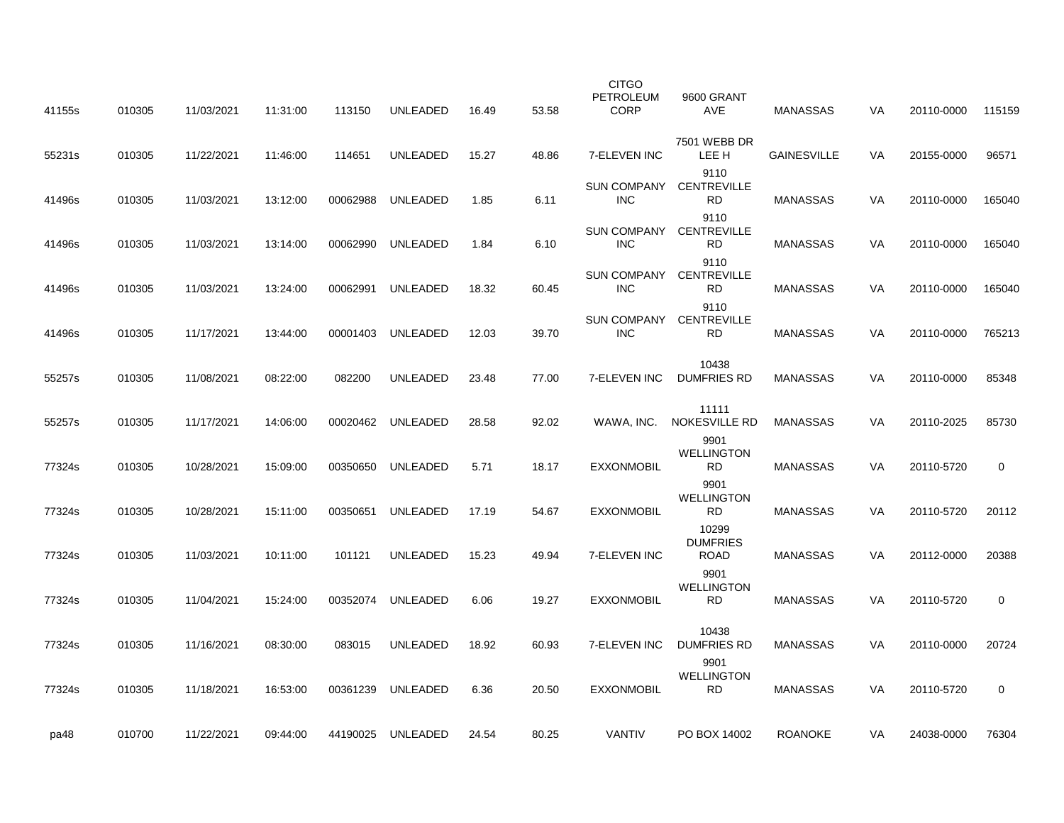| 41155s | 010305 | 11/03/2021 | 11:31:00 | 113150   | UNLEADED          | 16.49 | 53.58 | <b>CITGO</b><br>PETROLEUM<br><b>CORP</b> | 9600 GRANT<br>AVE                       | <b>MANASSAS</b>    | VA | 20110-0000 | 115159 |
|--------|--------|------------|----------|----------|-------------------|-------|-------|------------------------------------------|-----------------------------------------|--------------------|----|------------|--------|
| 55231s | 010305 | 11/22/2021 | 11:46:00 | 114651   | <b>UNLEADED</b>   | 15.27 | 48.86 | 7-ELEVEN INC                             | 7501 WEBB DR<br>LEE H                   | <b>GAINESVILLE</b> | VA | 20155-0000 | 96571  |
| 41496s | 010305 | 11/03/2021 | 13:12:00 | 00062988 | UNLEADED          | 1.85  | 6.11  | <b>SUN COMPANY</b><br><b>INC</b>         | 9110<br><b>CENTREVILLE</b><br><b>RD</b> | <b>MANASSAS</b>    | VA | 20110-0000 | 165040 |
| 41496s | 010305 | 11/03/2021 | 13:14:00 | 00062990 | <b>UNLEADED</b>   | 1.84  | 6.10  | <b>SUN COMPANY</b><br><b>INC</b>         | 9110<br><b>CENTREVILLE</b><br><b>RD</b> | <b>MANASSAS</b>    | VA | 20110-0000 | 165040 |
| 41496s | 010305 | 11/03/2021 | 13:24:00 | 00062991 | <b>UNLEADED</b>   | 18.32 | 60.45 | <b>SUN COMPANY</b><br><b>INC</b>         | 9110<br><b>CENTREVILLE</b><br><b>RD</b> | <b>MANASSAS</b>    | VA | 20110-0000 | 165040 |
| 41496s | 010305 | 11/17/2021 | 13:44:00 | 00001403 | UNLEADED          | 12.03 | 39.70 | <b>SUN COMPANY</b><br><b>INC</b>         | 9110<br><b>CENTREVILLE</b><br>RD.       | <b>MANASSAS</b>    | VA | 20110-0000 | 765213 |
| 55257s | 010305 | 11/08/2021 | 08:22:00 | 082200   | <b>UNLEADED</b>   | 23.48 | 77.00 | 7-ELEVEN INC                             | 10438<br><b>DUMFRIES RD</b>             | <b>MANASSAS</b>    | VA | 20110-0000 | 85348  |
| 55257s | 010305 | 11/17/2021 | 14:06:00 |          | 00020462 UNLEADED | 28.58 | 92.02 | WAWA, INC.                               | 11111<br><b>NOKESVILLE RD</b>           | <b>MANASSAS</b>    | VA | 20110-2025 | 85730  |
| 77324s | 010305 | 10/28/2021 | 15:09:00 | 00350650 | UNLEADED          | 5.71  | 18.17 | <b>EXXONMOBIL</b>                        | 9901<br><b>WELLINGTON</b><br><b>RD</b>  | <b>MANASSAS</b>    | VA | 20110-5720 | 0      |
| 77324s | 010305 | 10/28/2021 | 15:11:00 | 00350651 | UNLEADED          | 17.19 | 54.67 | <b>EXXONMOBIL</b>                        | 9901<br><b>WELLINGTON</b><br><b>RD</b>  | <b>MANASSAS</b>    | VA | 20110-5720 | 20112  |
| 77324s | 010305 | 11/03/2021 | 10:11:00 | 101121   | <b>UNLEADED</b>   | 15.23 | 49.94 | 7-ELEVEN INC                             | 10299<br><b>DUMFRIES</b><br><b>ROAD</b> | <b>MANASSAS</b>    | VA | 20112-0000 | 20388  |
| 77324s | 010305 | 11/04/2021 | 15:24:00 | 00352074 | UNLEADED          | 6.06  | 19.27 | <b>EXXONMOBIL</b>                        | 9901<br><b>WELLINGTON</b><br><b>RD</b>  | <b>MANASSAS</b>    | VA | 20110-5720 | 0      |
| 77324s | 010305 | 11/16/2021 | 08:30:00 | 083015   | <b>UNLEADED</b>   | 18.92 | 60.93 | 7-ELEVEN INC                             | 10438<br><b>DUMFRIES RD</b>             | <b>MANASSAS</b>    | VA | 20110-0000 | 20724  |
| 77324s | 010305 | 11/18/2021 | 16:53:00 | 00361239 | <b>UNLEADED</b>   | 6.36  | 20.50 | <b>EXXONMOBIL</b>                        | 9901<br><b>WELLINGTON</b><br><b>RD</b>  | <b>MANASSAS</b>    | VA | 20110-5720 | 0      |
| pa48   | 010700 | 11/22/2021 | 09:44:00 |          | 44190025 UNLEADED | 24.54 | 80.25 | <b>VANTIV</b>                            | PO BOX 14002                            | <b>ROANOKE</b>     | VA | 24038-0000 | 76304  |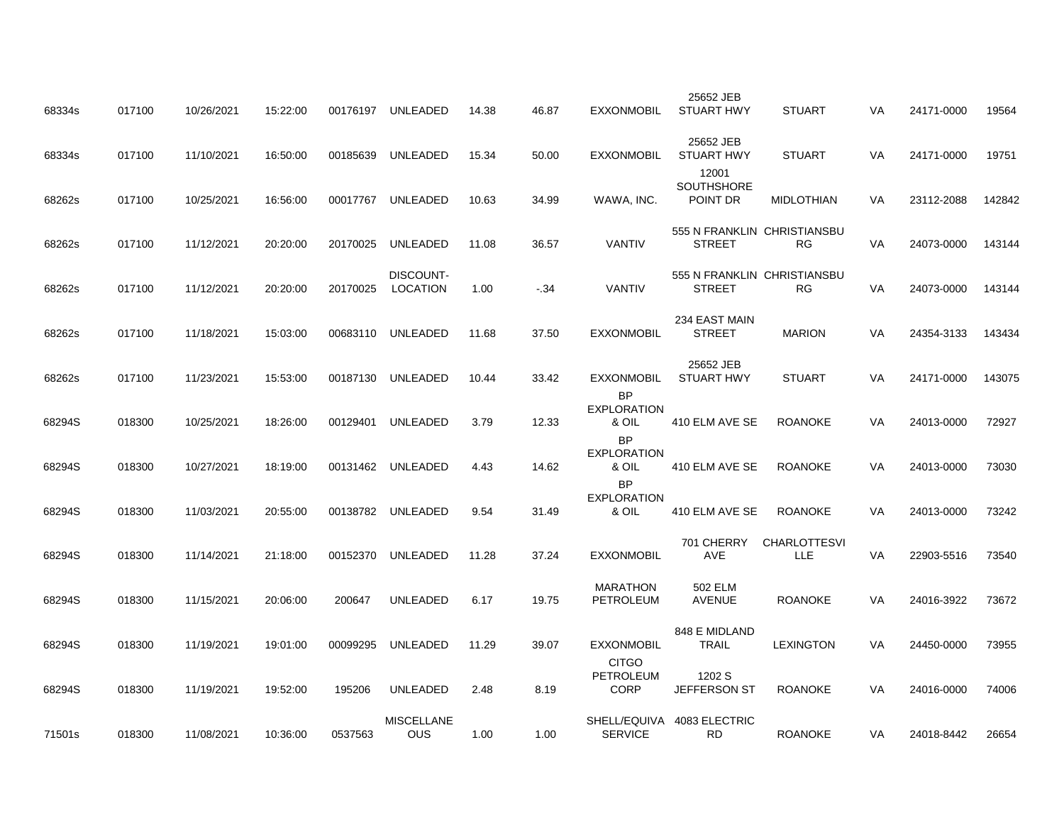| 68334s | 017100 | 10/26/2021 | 15:22:00 | 00176197 | UNLEADED                     | 14.38 | 46.87 | <b>EXXONMOBIL</b>                               | 25652 JEB<br><b>STUART HWY</b>               | <b>STUART</b>                     | VA        | 24171-0000 | 19564  |
|--------|--------|------------|----------|----------|------------------------------|-------|-------|-------------------------------------------------|----------------------------------------------|-----------------------------------|-----------|------------|--------|
| 68334s | 017100 | 11/10/2021 | 16:50:00 | 00185639 | UNLEADED                     | 15.34 | 50.00 | <b>EXXONMOBIL</b>                               | 25652 JEB<br><b>STUART HWY</b>               | <b>STUART</b>                     | VA        | 24171-0000 | 19751  |
| 68262s | 017100 | 10/25/2021 | 16:56:00 | 00017767 | UNLEADED                     | 10.63 | 34.99 | WAWA, INC.                                      | 12001<br>SOUTHSHORE<br>POINT DR              | <b>MIDLOTHIAN</b>                 | VA        | 23112-2088 | 142842 |
| 68262s | 017100 | 11/12/2021 | 20:20:00 | 20170025 | <b>UNLEADED</b>              | 11.08 | 36.57 | <b>VANTIV</b>                                   | 555 N FRANKLIN CHRISTIANSBU<br><b>STREET</b> | RG                                | VA        | 24073-0000 | 143144 |
| 68262s | 017100 | 11/12/2021 | 20:20:00 | 20170025 | DISCOUNT-<br><b>LOCATION</b> | 1.00  | $-34$ | <b>VANTIV</b>                                   | 555 N FRANKLIN CHRISTIANSBU<br><b>STREET</b> | RG                                | VA        | 24073-0000 | 143144 |
| 68262s | 017100 | 11/18/2021 | 15:03:00 | 00683110 | UNLEADED                     | 11.68 | 37.50 | <b>EXXONMOBIL</b>                               | 234 EAST MAIN<br><b>STREET</b>               | <b>MARION</b>                     | VA        | 24354-3133 | 143434 |
| 68262s | 017100 | 11/23/2021 | 15:53:00 | 00187130 | UNLEADED                     | 10.44 | 33.42 | <b>EXXONMOBIL</b>                               | 25652 JEB<br><b>STUART HWY</b>               | <b>STUART</b>                     | <b>VA</b> | 24171-0000 | 143075 |
| 68294S | 018300 | 10/25/2021 | 18:26:00 | 00129401 | UNLEADED                     | 3.79  | 12.33 | <b>BP</b><br><b>EXPLORATION</b><br>& OIL        | 410 ELM AVE SE                               | <b>ROANOKE</b>                    | VA        | 24013-0000 | 72927  |
| 68294S | 018300 | 10/27/2021 | 18:19:00 |          | 00131462 UNLEADED            | 4.43  | 14.62 | <b>BP</b><br><b>EXPLORATION</b><br>& OIL        | 410 ELM AVE SE                               | <b>ROANOKE</b>                    | VA        | 24013-0000 | 73030  |
| 68294S | 018300 | 11/03/2021 | 20:55:00 |          | 00138782 UNLEADED            | 9.54  | 31.49 | <b>BP</b><br><b>EXPLORATION</b><br>& OIL        | 410 ELM AVE SE                               | <b>ROANOKE</b>                    | <b>VA</b> | 24013-0000 | 73242  |
| 68294S | 018300 | 11/14/2021 | 21:18:00 | 00152370 | UNLEADED                     | 11.28 | 37.24 | <b>EXXONMOBIL</b>                               | 701 CHERRY<br>AVE                            | <b>CHARLOTTESVI</b><br><b>LLE</b> | VA        | 22903-5516 | 73540  |
| 68294S | 018300 | 11/15/2021 | 20:06:00 | 200647   | <b>UNLEADED</b>              | 6.17  | 19.75 | <b>MARATHON</b><br>PETROLEUM                    | 502 ELM<br><b>AVENUE</b>                     | <b>ROANOKE</b>                    | VA        | 24016-3922 | 73672  |
| 68294S | 018300 | 11/19/2021 | 19:01:00 | 00099295 | <b>UNLEADED</b>              | 11.29 | 39.07 | <b>EXXONMOBIL</b>                               | 848 E MIDLAND<br>TRAIL                       | <b>LEXINGTON</b>                  | VA        | 24450-0000 | 73955  |
| 68294S | 018300 | 11/19/2021 | 19:52:00 | 195206   | <b>UNLEADED</b>              |       | 8.19  | <b>CITGO</b><br><b>PETROLEUM</b><br><b>CORP</b> | 1202 S<br>JEFFERSON ST                       | <b>ROANOKE</b>                    | VA        | 24016-0000 | 74006  |
|        |        |            |          |          | <b>MISCELLANE</b>            | 2.48  |       |                                                 | SHELL/EQUIVA 4083 ELECTRIC                   |                                   |           |            |        |
| 71501s | 018300 | 11/08/2021 | 10:36:00 | 0537563  | <b>OUS</b>                   | 1.00  | 1.00  | <b>SERVICE</b>                                  | <b>RD</b>                                    | <b>ROANOKE</b>                    | <b>VA</b> | 24018-8442 | 26654  |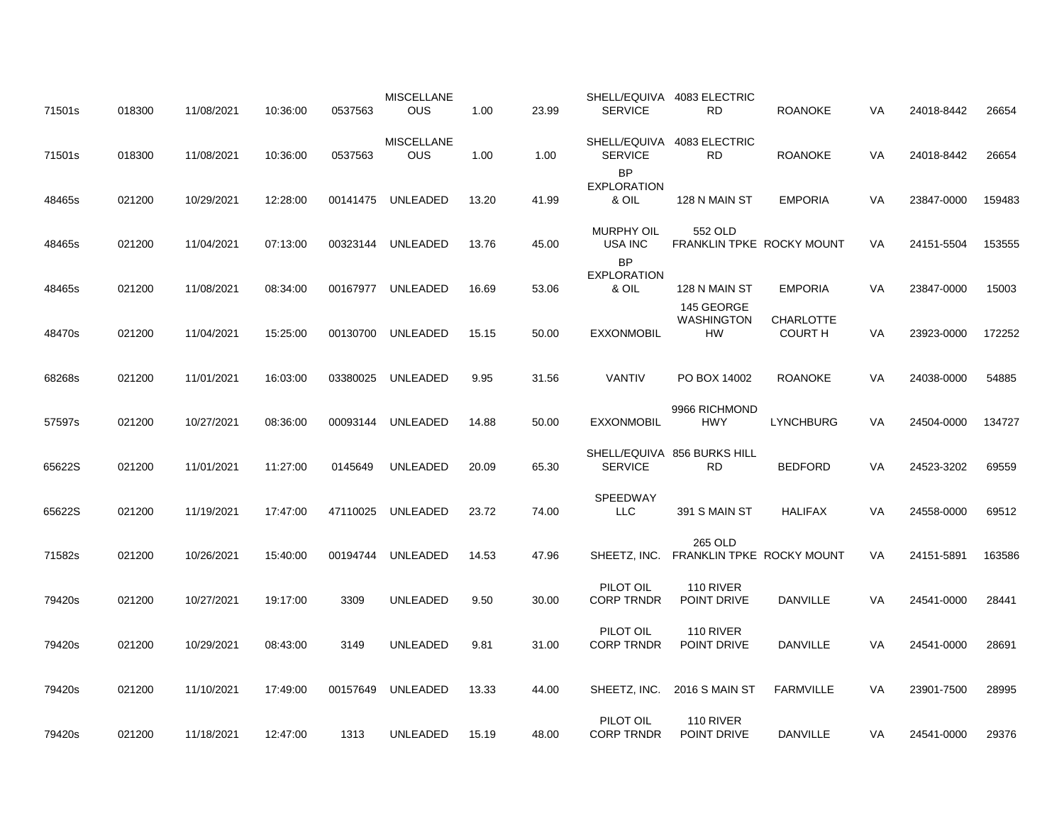| 71501s | 018300 | 11/08/2021 | 10:36:00 | 0537563  | <b>MISCELLANE</b><br><b>OUS</b> | 1.00  | 23.99 | <b>SERVICE</b>                           | SHELL/EQUIVA 4083 ELECTRIC<br><b>RD</b>      | <b>ROANOKE</b>                     | VA | 24018-8442 | 26654  |
|--------|--------|------------|----------|----------|---------------------------------|-------|-------|------------------------------------------|----------------------------------------------|------------------------------------|----|------------|--------|
| 71501s | 018300 | 11/08/2021 | 10:36:00 | 0537563  | <b>MISCELLANE</b><br><b>OUS</b> | 1.00  | 1.00  | <b>SERVICE</b>                           | SHELL/EQUIVA 4083 ELECTRIC<br>RD.            | <b>ROANOKE</b>                     | VA | 24018-8442 | 26654  |
| 48465s | 021200 | 10/29/2021 | 12:28:00 | 00141475 | UNLEADED                        | 13.20 | 41.99 | <b>BP</b><br><b>EXPLORATION</b><br>& OIL | 128 N MAIN ST                                | <b>EMPORIA</b>                     | VA | 23847-0000 | 159483 |
| 48465s | 021200 | 11/04/2021 | 07:13:00 | 00323144 | UNLEADED                        | 13.76 | 45.00 | <b>MURPHY OIL</b><br>USA INC             | 552 OLD<br>FRANKLIN TPKE ROCKY MOUNT         |                                    | VA | 24151-5504 | 153555 |
| 48465s | 021200 | 11/08/2021 | 08:34:00 | 00167977 | UNLEADED                        | 16.69 | 53.06 | <b>BP</b><br><b>EXPLORATION</b><br>& OIL | 128 N MAIN ST                                | <b>EMPORIA</b>                     | VA | 23847-0000 | 15003  |
| 48470s | 021200 | 11/04/2021 | 15:25:00 | 00130700 | UNLEADED                        | 15.15 | 50.00 | <b>EXXONMOBIL</b>                        | 145 GEORGE<br><b>WASHINGTON</b><br><b>HW</b> | <b>CHARLOTTE</b><br><b>COURT H</b> | VA | 23923-0000 | 172252 |
| 68268s | 021200 | 11/01/2021 | 16:03:00 | 03380025 | <b>UNLEADED</b>                 | 9.95  | 31.56 | VANTIV                                   | PO BOX 14002                                 | <b>ROANOKE</b>                     | VA | 24038-0000 | 54885  |
| 57597s | 021200 | 10/27/2021 | 08:36:00 | 00093144 | <b>UNLEADED</b>                 | 14.88 | 50.00 | <b>EXXONMOBIL</b>                        | 9966 RICHMOND<br><b>HWY</b>                  | <b>LYNCHBURG</b>                   | VA | 24504-0000 | 134727 |
| 65622S | 021200 | 11/01/2021 | 11:27:00 | 0145649  | <b>UNLEADED</b>                 | 20.09 | 65.30 | <b>SERVICE</b>                           | SHELL/EQUIVA 856 BURKS HILL<br><b>RD</b>     | <b>BEDFORD</b>                     | VA | 24523-3202 | 69559  |
| 65622S | 021200 | 11/19/2021 | 17:47:00 | 47110025 | UNLEADED                        | 23.72 | 74.00 | SPEEDWAY<br><b>LLC</b>                   | 391 S MAIN ST                                | <b>HALIFAX</b>                     | VA | 24558-0000 | 69512  |
| 71582s | 021200 | 10/26/2021 | 15:40:00 | 00194744 | <b>UNLEADED</b>                 | 14.53 | 47.96 | SHEETZ, INC.                             | 265 OLD<br>FRANKLIN TPKE ROCKY MOUNT         |                                    | VA | 24151-5891 | 163586 |
| 79420s | 021200 | 10/27/2021 | 19:17:00 | 3309     | UNLEADED                        | 9.50  | 30.00 | PILOT OIL<br><b>CORP TRNDR</b>           | 110 RIVER<br>POINT DRIVE                     | DANVILLE                           | VA | 24541-0000 | 28441  |
| 79420s | 021200 | 10/29/2021 | 08:43:00 | 3149     | <b>UNLEADED</b>                 | 9.81  | 31.00 | PILOT OIL<br><b>CORP TRNDR</b>           | 110 RIVER<br><b>POINT DRIVE</b>              | DANVILLE                           | VA | 24541-0000 | 28691  |
| 79420s | 021200 | 11/10/2021 | 17:49:00 | 00157649 | UNLEADED                        | 13.33 | 44.00 | SHEETZ, INC.                             | <b>2016 S MAIN ST</b>                        | <b>FARMVILLE</b>                   | VA | 23901-7500 | 28995  |
| 79420s | 021200 | 11/18/2021 | 12:47:00 | 1313     | <b>UNLEADED</b>                 | 15.19 | 48.00 | PILOT OIL<br><b>CORP TRNDR</b>           | 110 RIVER<br>POINT DRIVE                     | <b>DANVILLE</b>                    | VA | 24541-0000 | 29376  |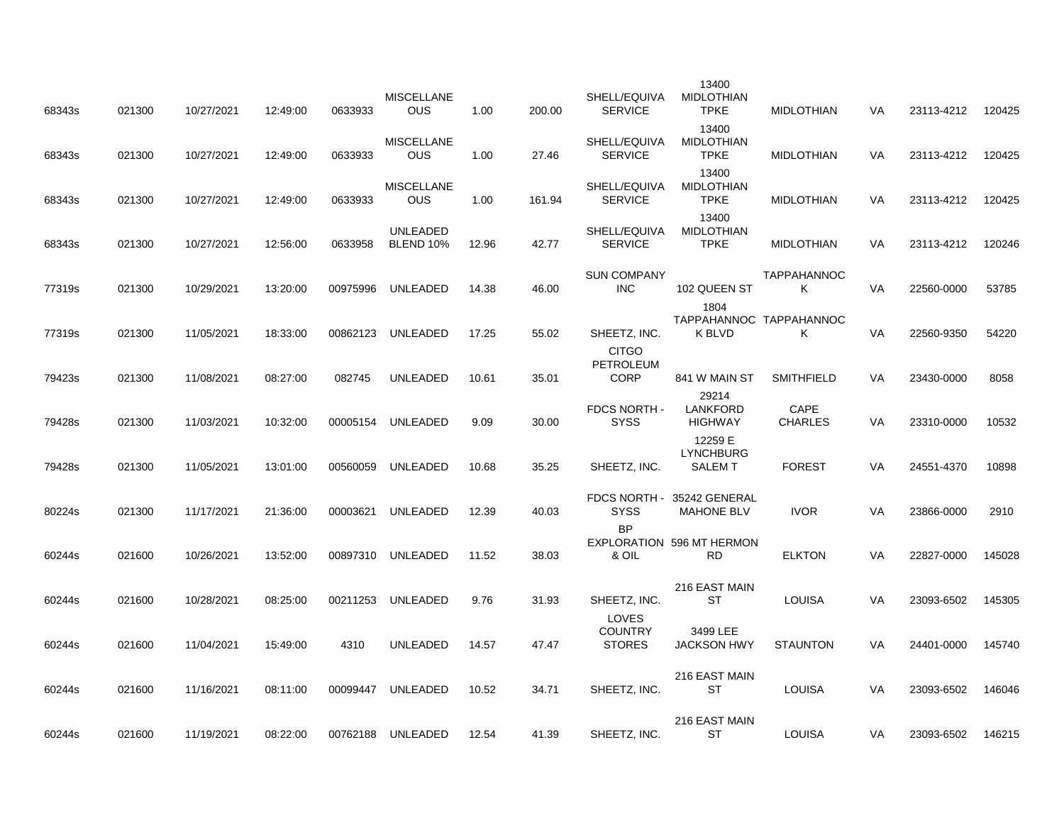| 68343s | 021300 | 10/27/2021 | 12:49:00 | 0633933  | <b>MISCELLANE</b><br><b>OUS</b>     | 1.00  | 200.00 | SHELL/EQUIVA<br><b>SERVICE</b>           | 13400<br><b>MIDLOTHIAN</b><br><b>TPKE</b>             | <b>MIDLOTHIAN</b>            | VA        | 23113-4212 | 120425 |
|--------|--------|------------|----------|----------|-------------------------------------|-------|--------|------------------------------------------|-------------------------------------------------------|------------------------------|-----------|------------|--------|
| 68343s | 021300 | 10/27/2021 | 12:49:00 | 0633933  | <b>MISCELLANE</b><br><b>OUS</b>     | 1.00  | 27.46  | SHELL/EQUIVA<br><b>SERVICE</b>           | 13400<br><b>MIDLOTHIAN</b><br><b>TPKE</b>             | <b>MIDLOTHIAN</b>            | VA        | 23113-4212 | 120425 |
| 68343s | 021300 | 10/27/2021 | 12:49:00 | 0633933  | <b>MISCELLANE</b><br><b>OUS</b>     | 1.00  | 161.94 | SHELL/EQUIVA<br><b>SERVICE</b>           | 13400<br><b>MIDLOTHIAN</b><br><b>TPKE</b>             | <b>MIDLOTHIAN</b>            | VA        | 23113-4212 | 120425 |
| 68343s | 021300 | 10/27/2021 | 12:56:00 | 0633958  | <b>UNLEADED</b><br><b>BLEND 10%</b> | 12.96 | 42.77  | SHELL/EQUIVA<br><b>SERVICE</b>           | 13400<br><b>MIDLOTHIAN</b><br><b>TPKE</b>             | <b>MIDLOTHIAN</b>            | <b>VA</b> | 23113-4212 | 120246 |
| 77319s | 021300 | 10/29/2021 | 13:20:00 | 00975996 | UNLEADED                            | 14.38 | 46.00  | <b>SUN COMPANY</b><br><b>INC</b>         | 102 QUEEN ST                                          | <b>TAPPAHANNOC</b><br>ĸ      | VA        | 22560-0000 | 53785  |
| 77319s | 021300 | 11/05/2021 | 18:33:00 | 00862123 | UNLEADED                            | 17.25 | 55.02  | SHEETZ, INC.                             | 1804<br><b>K BLVD</b>                                 | TAPPAHANNOC TAPPAHANNOC<br>K | VA        | 22560-9350 | 54220  |
| 79423s | 021300 | 11/08/2021 | 08:27:00 | 082745   | <b>UNLEADED</b>                     | 10.61 | 35.01  | <b>CITGO</b><br>PETROLEUM<br><b>CORP</b> | 841 W MAIN ST                                         | <b>SMITHFIELD</b>            | VA.       | 23430-0000 | 8058   |
| 79428s | 021300 | 11/03/2021 | 10:32:00 | 00005154 | <b>UNLEADED</b>                     | 9.09  | 30.00  | FDCS NORTH -<br><b>SYSS</b>              | 29214<br><b>LANKFORD</b><br><b>HIGHWAY</b>            | CAPE<br><b>CHARLES</b>       | VA        | 23310-0000 | 10532  |
| 79428s | 021300 | 11/05/2021 | 13:01:00 | 00560059 | UNLEADED                            | 10.68 | 35.25  | SHEETZ, INC.                             | 12259 E<br><b>LYNCHBURG</b><br><b>SALEM T</b>         | <b>FOREST</b>                | VA        | 24551-4370 | 10898  |
|        |        |            |          |          |                                     |       |        |                                          | FDCS NORTH - 35242 GENERAL                            |                              |           |            |        |
| 80224s | 021300 | 11/17/2021 | 21:36:00 | 00003621 | <b>UNLEADED</b>                     | 12.39 | 40.03  | <b>SYSS</b><br><b>BP</b>                 | <b>MAHONE BLV</b><br><b>EXPLORATION 596 MT HERMON</b> | <b>IVOR</b>                  | <b>VA</b> | 23866-0000 | 2910   |
| 60244s | 021600 | 10/26/2021 | 13:52:00 | 00897310 | UNLEADED                            | 11.52 | 38.03  | & OIL                                    | <b>RD</b><br>216 EAST MAIN                            | <b>ELKTON</b>                | VA        | 22827-0000 | 145028 |
| 60244s | 021600 | 10/28/2021 | 08:25:00 | 00211253 | UNLEADED                            | 9.76  | 31.93  | SHEETZ, INC.<br><b>LOVES</b>             | <b>ST</b>                                             | <b>LOUISA</b>                | <b>VA</b> | 23093-6502 | 145305 |
| 60244s | 021600 | 11/04/2021 | 15:49:00 | 4310     | <b>UNLEADED</b>                     | 14.57 | 47.47  | <b>COUNTRY</b><br><b>STORES</b>          | 3499 LEE<br><b>JACKSON HWY</b>                        | <b>STAUNTON</b>              | VA        | 24401-0000 | 145740 |
| 60244s | 021600 | 11/16/2021 | 08:11:00 | 00099447 | <b>UNLEADED</b>                     | 10.52 | 34.71  | SHEETZ, INC.                             | 216 EAST MAIN<br><b>ST</b>                            | <b>LOUISA</b>                | VA        | 23093-6502 | 146046 |
| 60244s | 021600 | 11/19/2021 | 08:22:00 | 00762188 | UNLEADED                            | 12.54 | 41.39  | SHEETZ, INC.                             | 216 EAST MAIN<br><b>ST</b>                            | <b>LOUISA</b>                | VA        | 23093-6502 | 146215 |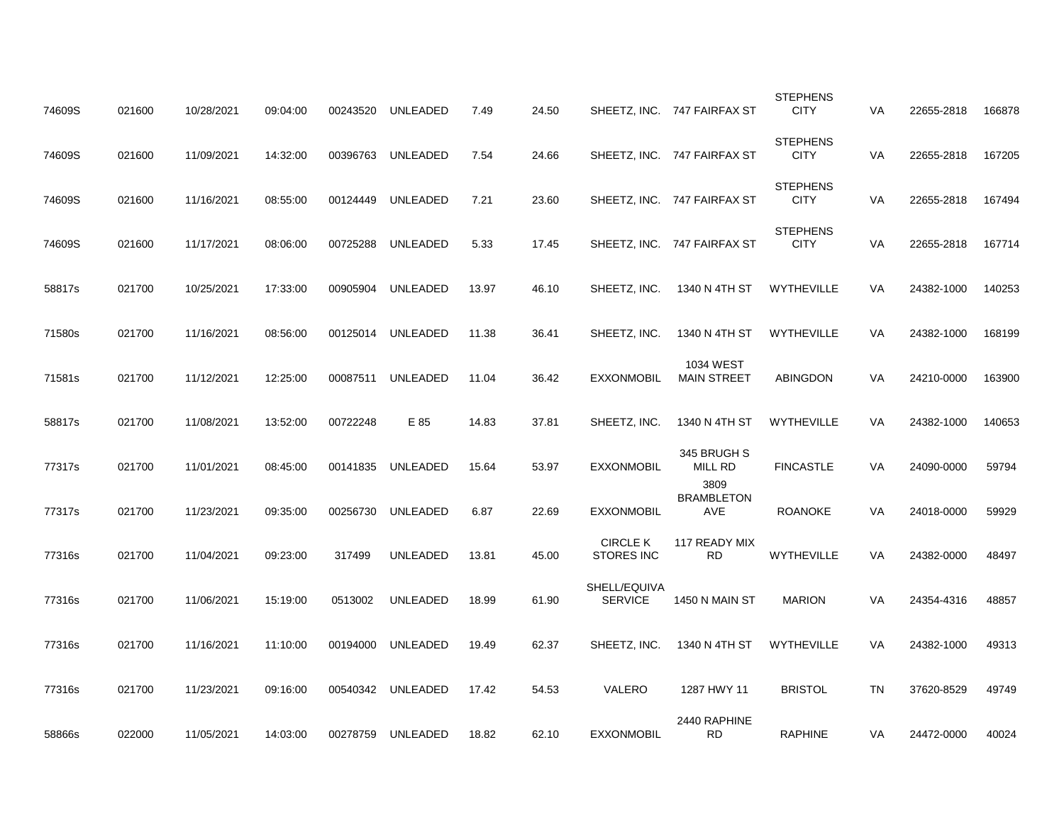| 74609S | 021600 | 10/28/2021 | 09:04:00 | 00243520 | UNLEADED          | 7.49  | 24.50 |                                      | SHEETZ, INC. 747 FAIRFAX ST      | <b>STEPHENS</b><br><b>CITY</b> | <b>VA</b> | 22655-2818 | 166878 |
|--------|--------|------------|----------|----------|-------------------|-------|-------|--------------------------------------|----------------------------------|--------------------------------|-----------|------------|--------|
| 74609S | 021600 | 11/09/2021 | 14:32:00 | 00396763 | UNLEADED          | 7.54  | 24.66 |                                      | SHEETZ, INC. 747 FAIRFAX ST      | <b>STEPHENS</b><br><b>CITY</b> | VA        | 22655-2818 | 167205 |
| 74609S | 021600 | 11/16/2021 | 08:55:00 | 00124449 | UNLEADED          | 7.21  | 23.60 |                                      | SHEETZ, INC. 747 FAIRFAX ST      | <b>STEPHENS</b><br><b>CITY</b> | VA        | 22655-2818 | 167494 |
| 74609S | 021600 | 11/17/2021 | 08:06:00 | 00725288 | UNLEADED          | 5.33  | 17.45 |                                      | SHEETZ, INC. 747 FAIRFAX ST      | <b>STEPHENS</b><br><b>CITY</b> | VA        | 22655-2818 | 167714 |
| 58817s | 021700 | 10/25/2021 | 17:33:00 | 00905904 | UNLEADED          | 13.97 | 46.10 | SHEETZ, INC.                         | 1340 N 4TH ST                    | WYTHEVILLE                     | VA        | 24382-1000 | 140253 |
| 71580s | 021700 | 11/16/2021 | 08:56:00 | 00125014 | UNLEADED          | 11.38 | 36.41 | SHEETZ, INC.                         | 1340 N 4TH ST                    | WYTHEVILLE                     | VA        | 24382-1000 | 168199 |
| 71581s | 021700 | 11/12/2021 | 12:25:00 | 00087511 | UNLEADED          | 11.04 | 36.42 | <b>EXXONMOBIL</b>                    | 1034 WEST<br><b>MAIN STREET</b>  | ABINGDON                       | VA        | 24210-0000 | 163900 |
| 58817s | 021700 | 11/08/2021 | 13:52:00 | 00722248 | E 85              | 14.83 | 37.81 | SHEETZ, INC.                         | 1340 N 4TH ST                    | <b>WYTHEVILLE</b>              | VA        | 24382-1000 | 140653 |
| 77317s | 021700 | 11/01/2021 | 08:45:00 |          | 00141835 UNLEADED | 15.64 | 53.97 | <b>EXXONMOBIL</b>                    | 345 BRUGH S<br>MILL RD           | <b>FINCASTLE</b>               | VA        | 24090-0000 | 59794  |
| 77317s | 021700 | 11/23/2021 | 09:35:00 | 00256730 | UNLEADED          | 6.87  | 22.69 | <b>EXXONMOBIL</b>                    | 3809<br><b>BRAMBLETON</b><br>AVE | <b>ROANOKE</b>                 | VA        | 24018-0000 | 59929  |
| 77316s | 021700 | 11/04/2021 | 09:23:00 | 317499   | <b>UNLEADED</b>   | 13.81 | 45.00 | <b>CIRCLE K</b><br><b>STORES INC</b> | 117 READY MIX<br><b>RD</b>       | WYTHEVILLE                     | VA        | 24382-0000 | 48497  |
| 77316s | 021700 | 11/06/2021 | 15:19:00 | 0513002  | <b>UNLEADED</b>   | 18.99 | 61.90 | SHELL/EQUIVA<br><b>SERVICE</b>       | 1450 N MAIN ST                   | <b>MARION</b>                  | VA        | 24354-4316 | 48857  |
| 77316s | 021700 | 11/16/2021 | 11:10:00 | 00194000 | UNLEADED          | 19.49 | 62.37 | SHEETZ, INC.                         | 1340 N 4TH ST                    | <b>WYTHEVILLE</b>              | VA        | 24382-1000 | 49313  |
| 77316s | 021700 | 11/23/2021 | 09:16:00 |          | 00540342 UNLEADED | 17.42 | 54.53 | VALERO                               | 1287 HWY 11                      | <b>BRISTOL</b>                 | TN        | 37620-8529 | 49749  |
| 58866s | 022000 | 11/05/2021 | 14:03:00 | 00278759 | UNLEADED          | 18.82 | 62.10 | <b>EXXONMOBIL</b>                    | 2440 RAPHINE<br><b>RD</b>        | <b>RAPHINE</b>                 | VA        | 24472-0000 | 40024  |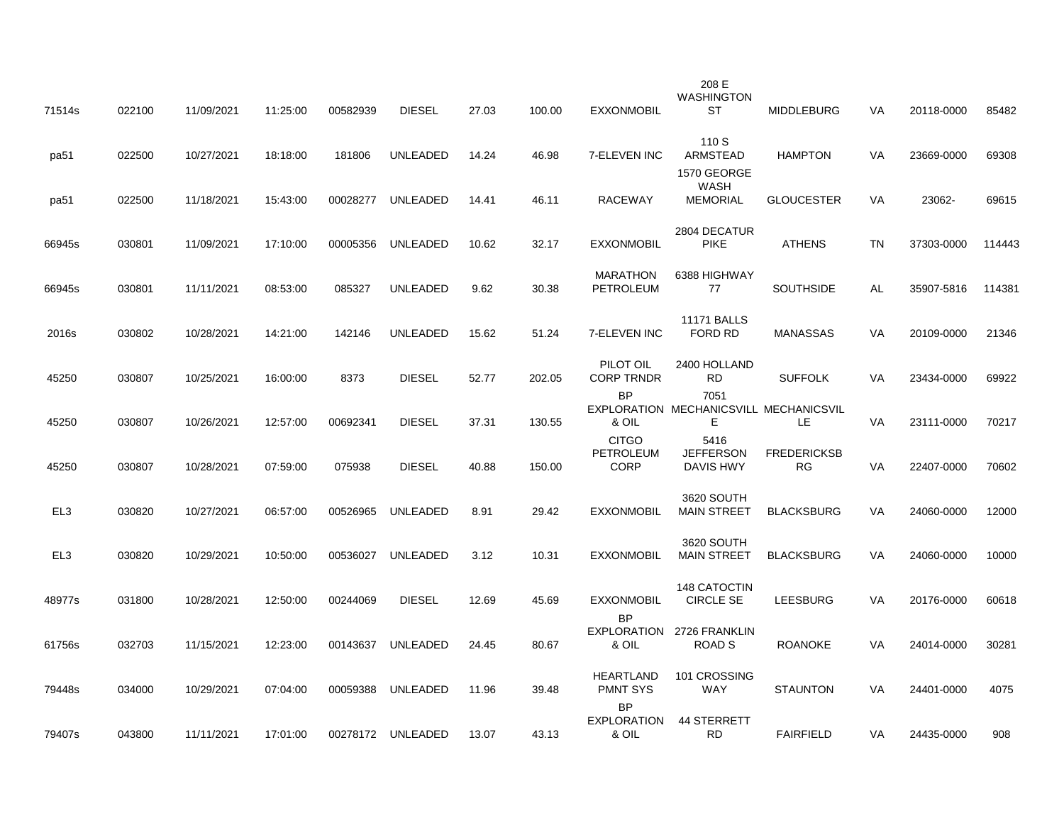| 71514s          | 022100 | 11/09/2021 | 11:25:00 | 00582939 | <b>DIESEL</b>     | 27.03 | 100.00 | <b>EXXONMOBIL</b>                        | 208 E<br><b>WASHINGTON</b><br><b>ST</b>              | <b>MIDDLEBURG</b>         | VA        | 20118-0000 | 85482  |
|-----------------|--------|------------|----------|----------|-------------------|-------|--------|------------------------------------------|------------------------------------------------------|---------------------------|-----------|------------|--------|
| pa51            | 022500 | 10/27/2021 | 18:18:00 | 181806   | <b>UNLEADED</b>   | 14.24 | 46.98  | 7-ELEVEN INC                             | 110 S<br>ARMSTEAD                                    | <b>HAMPTON</b>            | VA        | 23669-0000 | 69308  |
| pa51            | 022500 | 11/18/2021 | 15:43:00 | 00028277 | UNLEADED          | 14.41 | 46.11  | <b>RACEWAY</b>                           | 1570 GEORGE<br><b>WASH</b><br><b>MEMORIAL</b>        | <b>GLOUCESTER</b>         | VA        | 23062-     | 69615  |
| 66945s          | 030801 | 11/09/2021 | 17:10:00 | 00005356 | UNLEADED          | 10.62 | 32.17  | <b>EXXONMOBIL</b>                        | 2804 DECATUR<br><b>PIKE</b>                          | <b>ATHENS</b>             | <b>TN</b> | 37303-0000 | 114443 |
| 66945s          | 030801 | 11/11/2021 | 08:53:00 | 085327   | <b>UNLEADED</b>   | 9.62  | 30.38  | <b>MARATHON</b><br><b>PETROLEUM</b>      | 6388 HIGHWAY<br>77                                   | <b>SOUTHSIDE</b>          | AL        | 35907-5816 | 114381 |
| 2016s           | 030802 | 10/28/2021 | 14:21:00 | 142146   | UNLEADED          | 15.62 | 51.24  | 7-ELEVEN INC                             | <b>11171 BALLS</b><br>FORD RD                        | <b>MANASSAS</b>           | VA        | 20109-0000 | 21346  |
| 45250           | 030807 | 10/25/2021 | 16:00:00 | 8373     | <b>DIESEL</b>     | 52.77 | 202.05 | PILOT OIL<br><b>CORP TRNDR</b>           | 2400 HOLLAND<br><b>RD</b>                            | <b>SUFFOLK</b>            | VA        | 23434-0000 | 69922  |
| 45250           | 030807 | 10/26/2021 | 12:57:00 | 00692341 | <b>DIESEL</b>     | 37.31 | 130.55 | <b>BP</b><br>& OIL                       | 7051<br>EXPLORATION MECHANICSVILL MECHANICSVIL<br>E. | LE.                       | VA        | 23111-0000 | 70217  |
| 45250           | 030807 | 10/28/2021 | 07:59:00 | 075938   | <b>DIESEL</b>     | 40.88 | 150.00 | <b>CITGO</b><br>PETROLEUM<br><b>CORP</b> | 5416<br><b>JEFFERSON</b><br>DAVIS HWY                | <b>FREDERICKSB</b><br>RG. | VA        | 22407-0000 | 70602  |
| EL <sub>3</sub> | 030820 | 10/27/2021 | 06:57:00 | 00526965 | UNLEADED          | 8.91  | 29.42  | <b>EXXONMOBIL</b>                        | 3620 SOUTH<br><b>MAIN STREET</b>                     | <b>BLACKSBURG</b>         | VA        | 24060-0000 | 12000  |
| EL <sub>3</sub> | 030820 | 10/29/2021 | 10:50:00 | 00536027 | UNLEADED          | 3.12  | 10.31  | <b>EXXONMOBIL</b>                        | 3620 SOUTH<br><b>MAIN STREET</b>                     | <b>BLACKSBURG</b>         | VA        | 24060-0000 | 10000  |
| 48977s          | 031800 | 10/28/2021 | 12:50:00 | 00244069 | <b>DIESEL</b>     | 12.69 | 45.69  | <b>EXXONMOBIL</b>                        | 148 CATOCTIN<br><b>CIRCLE SE</b>                     | <b>LEESBURG</b>           | VA        | 20176-0000 | 60618  |
| 61756s          | 032703 | 11/15/2021 | 12:23:00 | 00143637 | UNLEADED          | 24.45 | 80.67  | <b>BP</b><br>& OIL                       | EXPLORATION 2726 FRANKLIN<br>ROAD S                  | <b>ROANOKE</b>            | VA        | 24014-0000 | 30281  |
| 79448s          | 034000 | 10/29/2021 | 07:04:00 | 00059388 | <b>UNLEADED</b>   | 11.96 | 39.48  | <b>HEARTLAND</b><br><b>PMNT SYS</b>      | 101 CROSSING<br><b>WAY</b>                           | <b>STAUNTON</b>           | VA        | 24401-0000 | 4075   |
| 79407s          | 043800 | 11/11/2021 | 17:01:00 |          | 00278172 UNLEADED | 13.07 | 43.13  | <b>BP</b><br><b>EXPLORATION</b><br>& OIL | 44 STERRETT<br><b>RD</b>                             | <b>FAIRFIELD</b>          | VA        | 24435-0000 | 908    |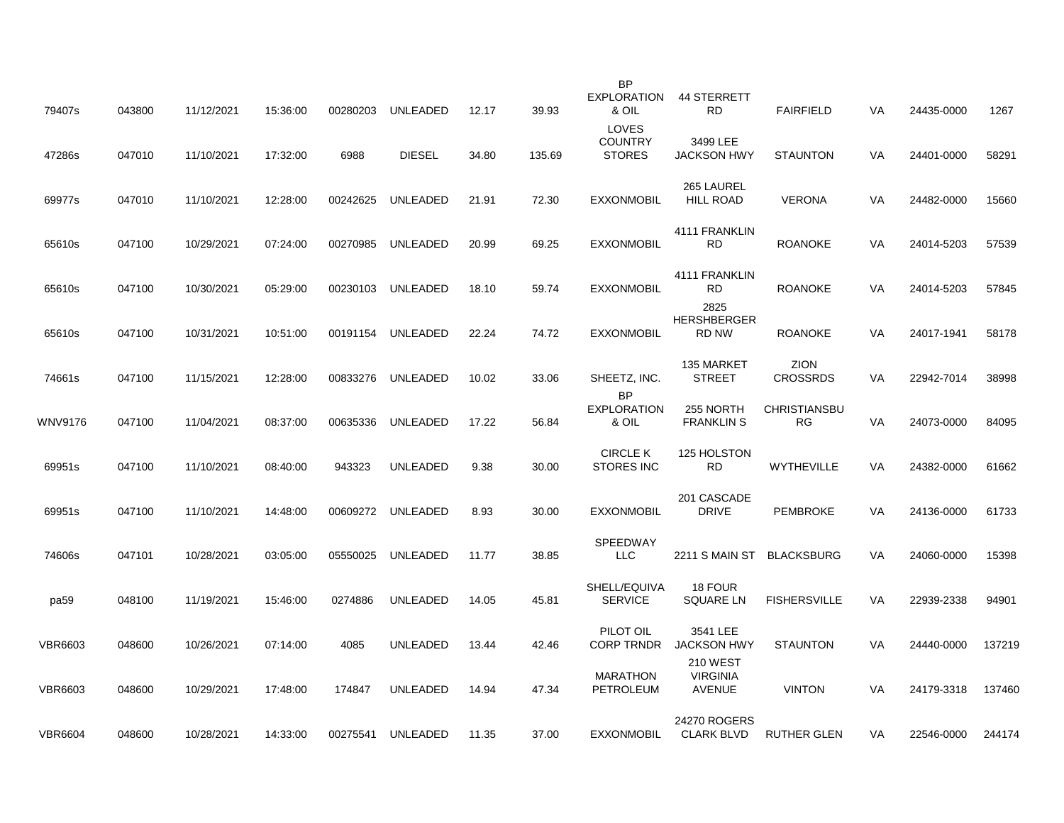| 79407s         | 043800 | 11/12/2021 | 15:36:00 | 00280203 | UNLEADED        | 12.17 | 39.93  | BP<br><b>EXPLORATION</b><br>& OIL        | 44 STERRETT<br><b>RD</b>                            | <b>FAIRFIELD</b>                 | VA | 24435-0000 | 1267   |
|----------------|--------|------------|----------|----------|-----------------|-------|--------|------------------------------------------|-----------------------------------------------------|----------------------------------|----|------------|--------|
| 47286s         | 047010 | 11/10/2021 | 17:32:00 | 6988     | <b>DIESEL</b>   | 34.80 | 135.69 | LOVES<br><b>COUNTRY</b><br><b>STORES</b> | 3499 LEE<br><b>JACKSON HWY</b>                      | <b>STAUNTON</b>                  | VA | 24401-0000 | 58291  |
| 69977s         | 047010 | 11/10/2021 | 12:28:00 | 00242625 | <b>UNLEADED</b> | 21.91 | 72.30  | <b>EXXONMOBIL</b>                        | 265 LAUREL<br><b>HILL ROAD</b>                      | <b>VERONA</b>                    | VA | 24482-0000 | 15660  |
| 65610s         | 047100 | 10/29/2021 | 07:24:00 | 00270985 | <b>UNLEADED</b> | 20.99 | 69.25  | <b>EXXONMOBIL</b>                        | 4111 FRANKLIN<br>RD.                                | <b>ROANOKE</b>                   | VA | 24014-5203 | 57539  |
| 65610s         | 047100 | 10/30/2021 | 05:29:00 | 00230103 | UNLEADED        | 18.10 | 59.74  | <b>EXXONMOBIL</b>                        | 4111 FRANKLIN<br><b>RD</b>                          | <b>ROANOKE</b>                   | VA | 24014-5203 | 57845  |
| 65610s         | 047100 | 10/31/2021 | 10:51:00 | 00191154 | <b>UNLEADED</b> | 22.24 | 74.72  | <b>EXXONMOBIL</b>                        | 2825<br><b>HERSHBERGER</b><br>RD NW                 | <b>ROANOKE</b>                   | VA | 24017-1941 | 58178  |
| 74661s         | 047100 | 11/15/2021 | 12:28:00 | 00833276 | <b>UNLEADED</b> | 10.02 | 33.06  | SHEETZ, INC.                             | 135 MARKET<br><b>STREET</b>                         | <b>ZION</b><br><b>CROSSRDS</b>   | VA | 22942-7014 | 38998  |
| WNV9176        | 047100 | 11/04/2021 | 08:37:00 | 00635336 | <b>UNLEADED</b> | 17.22 | 56.84  | <b>BP</b><br><b>EXPLORATION</b><br>& OIL | 255 NORTH<br><b>FRANKLIN S</b>                      | <b>CHRISTIANSBU</b><br><b>RG</b> | VA | 24073-0000 | 84095  |
| 69951s         | 047100 | 11/10/2021 | 08:40:00 | 943323   | UNLEADED        | 9.38  | 30.00  | <b>CIRCLE K</b><br><b>STORES INC</b>     | 125 HOLSTON<br><b>RD</b>                            | <b>WYTHEVILLE</b>                | VA | 24382-0000 | 61662  |
| 69951s         | 047100 | 11/10/2021 | 14:48:00 | 00609272 | <b>UNLEADED</b> | 8.93  | 30.00  | <b>EXXONMOBIL</b>                        | 201 CASCADE<br><b>DRIVE</b>                         | <b>PEMBROKE</b>                  | VA | 24136-0000 | 61733  |
| 74606s         | 047101 | 10/28/2021 | 03:05:00 | 05550025 | <b>UNLEADED</b> | 11.77 | 38.85  | <b>SPEEDWAY</b><br><b>LLC</b>            | <b>2211 S MAIN ST</b>                               | <b>BLACKSBURG</b>                | VA | 24060-0000 | 15398  |
| pa59           | 048100 | 11/19/2021 | 15:46:00 | 0274886  | UNLEADED        | 14.05 | 45.81  | SHELL/EQUIVA<br><b>SERVICE</b>           | 18 FOUR<br><b>SQUARE LN</b>                         | <b>FISHERSVILLE</b>              | VA | 22939-2338 | 94901  |
| <b>VBR6603</b> | 048600 | 10/26/2021 | 07:14:00 | 4085     | <b>UNLEADED</b> | 13.44 | 42.46  | PILOT OIL<br><b>CORP TRNDR</b>           | 3541 LEE<br><b>JACKSON HWY</b>                      | <b>STAUNTON</b>                  | VA | 24440-0000 | 137219 |
| <b>VBR6603</b> | 048600 | 10/29/2021 | 17:48:00 | 174847   | UNLEADED        | 14.94 | 47.34  | <b>MARATHON</b><br>PETROLEUM             | <b>210 WEST</b><br><b>VIRGINIA</b><br><b>AVENUE</b> | <b>VINTON</b>                    | VA | 24179-3318 | 137460 |
| <b>VBR6604</b> | 048600 | 10/28/2021 | 14:33:00 | 00275541 | UNLEADED        | 11.35 | 37.00  | <b>EXXONMOBIL</b>                        | 24270 ROGERS<br><b>CLARK BLVD</b>                   | <b>RUTHER GLEN</b>               | VA | 22546-0000 | 244174 |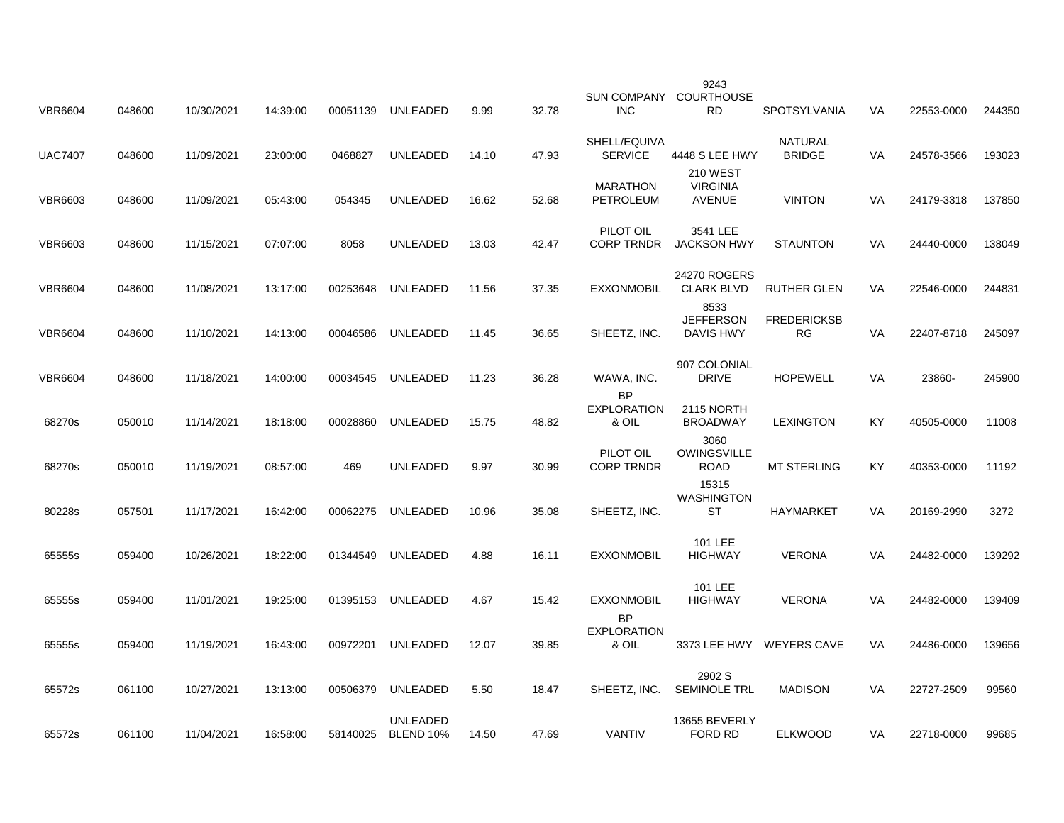| <b>VBR6604</b> | 048600 | 10/30/2021 | 14:39:00 | 00051139 | <b>UNLEADED</b>              | 9.99  | 32.78 | <b>SUN COMPANY</b><br><b>INC</b>         | 9243<br>COURTHOUSE<br><b>RD</b>                     | <b>SPOTSYLVANIA</b>             | VA        | 22553-0000 | 244350 |
|----------------|--------|------------|----------|----------|------------------------------|-------|-------|------------------------------------------|-----------------------------------------------------|---------------------------------|-----------|------------|--------|
| <b>UAC7407</b> | 048600 | 11/09/2021 | 23:00:00 | 0468827  | <b>UNLEADED</b>              | 14.10 | 47.93 | SHELL/EQUIVA<br><b>SERVICE</b>           | 4448 S LEE HWY                                      | <b>NATURAL</b><br><b>BRIDGE</b> | VA        | 24578-3566 | 193023 |
| <b>VBR6603</b> | 048600 | 11/09/2021 | 05:43:00 | 054345   | <b>UNLEADED</b>              | 16.62 | 52.68 | MARATHON<br>PETROLEUM                    | <b>210 WEST</b><br><b>VIRGINIA</b><br><b>AVENUE</b> | <b>VINTON</b>                   | VA        | 24179-3318 | 137850 |
| <b>VBR6603</b> | 048600 | 11/15/2021 | 07:07:00 | 8058     | <b>UNLEADED</b>              | 13.03 | 42.47 | PILOT OIL<br><b>CORP TRNDR</b>           | 3541 LEE<br><b>JACKSON HWY</b>                      | <b>STAUNTON</b>                 | VA        | 24440-0000 | 138049 |
| <b>VBR6604</b> | 048600 | 11/08/2021 | 13:17:00 | 00253648 | UNLEADED                     | 11.56 | 37.35 | <b>EXXONMOBIL</b>                        | 24270 ROGERS<br><b>CLARK BLVD</b>                   | <b>RUTHER GLEN</b>              | VA        | 22546-0000 | 244831 |
| <b>VBR6604</b> | 048600 | 11/10/2021 | 14:13:00 | 00046586 | UNLEADED                     | 11.45 | 36.65 | SHEETZ, INC.                             | 8533<br><b>JEFFERSON</b><br><b>DAVIS HWY</b>        | <b>FREDERICKSB</b><br><b>RG</b> | VA        | 22407-8718 | 245097 |
| <b>VBR6604</b> | 048600 | 11/18/2021 | 14:00:00 | 00034545 | UNLEADED                     | 11.23 | 36.28 | WAWA, INC.                               | 907 COLONIAL<br><b>DRIVE</b>                        | <b>HOPEWELL</b>                 | VA        | 23860-     | 245900 |
| 68270s         | 050010 | 11/14/2021 | 18:18:00 | 00028860 | <b>UNLEADED</b>              | 15.75 | 48.82 | <b>BP</b><br><b>EXPLORATION</b><br>& OIL | 2115 NORTH<br><b>BROADWAY</b>                       | <b>LEXINGTON</b>                | <b>KY</b> | 40505-0000 | 11008  |
| 68270s         | 050010 | 11/19/2021 | 08:57:00 | 469      | <b>UNLEADED</b>              | 9.97  | 30.99 | PILOT OIL<br><b>CORP TRNDR</b>           | 3060<br>OWINGSVILLE<br><b>ROAD</b>                  | <b>MT STERLING</b>              | KY        | 40353-0000 | 11192  |
| 80228s         | 057501 | 11/17/2021 | 16:42:00 | 00062275 | UNLEADED                     | 10.96 | 35.08 | SHEETZ, INC.                             | 15315<br><b>WASHINGTON</b><br><b>ST</b>             | <b>HAYMARKET</b>                | VA        | 20169-2990 | 3272   |
| 65555s         | 059400 | 10/26/2021 | 18:22:00 | 01344549 | UNLEADED                     | 4.88  | 16.11 | <b>EXXONMOBIL</b>                        | 101 LEE<br><b>HIGHWAY</b>                           | <b>VERONA</b>                   | VA        | 24482-0000 | 139292 |
| 65555s         | 059400 | 11/01/2021 | 19:25:00 | 01395153 | <b>UNLEADED</b>              | 4.67  | 15.42 | <b>EXXONMOBIL</b>                        | 101 LEE<br><b>HIGHWAY</b>                           | <b>VERONA</b>                   | VA        | 24482-0000 | 139409 |
| 65555s         | 059400 | 11/19/2021 | 16:43:00 | 00972201 | <b>UNLEADED</b>              | 12.07 | 39.85 | <b>BP</b><br><b>EXPLORATION</b><br>& OIL | 3373 LEE HWY                                        | <b>WEYERS CAVE</b>              | VA        | 24486-0000 | 139656 |
| 65572s         | 061100 | 10/27/2021 | 13:13:00 | 00506379 | UNLEADED                     | 5.50  | 18.47 | SHEETZ, INC.                             | 2902 S<br><b>SEMINOLE TRL</b>                       | <b>MADISON</b>                  | VA        | 22727-2509 | 99560  |
| 65572s         | 061100 | 11/04/2021 | 16:58:00 | 58140025 | <b>UNLEADED</b><br>BLEND 10% | 14.50 | 47.69 | <b>VANTIV</b>                            | 13655 BEVERLY<br>FORD RD                            | <b>ELKWOOD</b>                  | VA        | 22718-0000 | 99685  |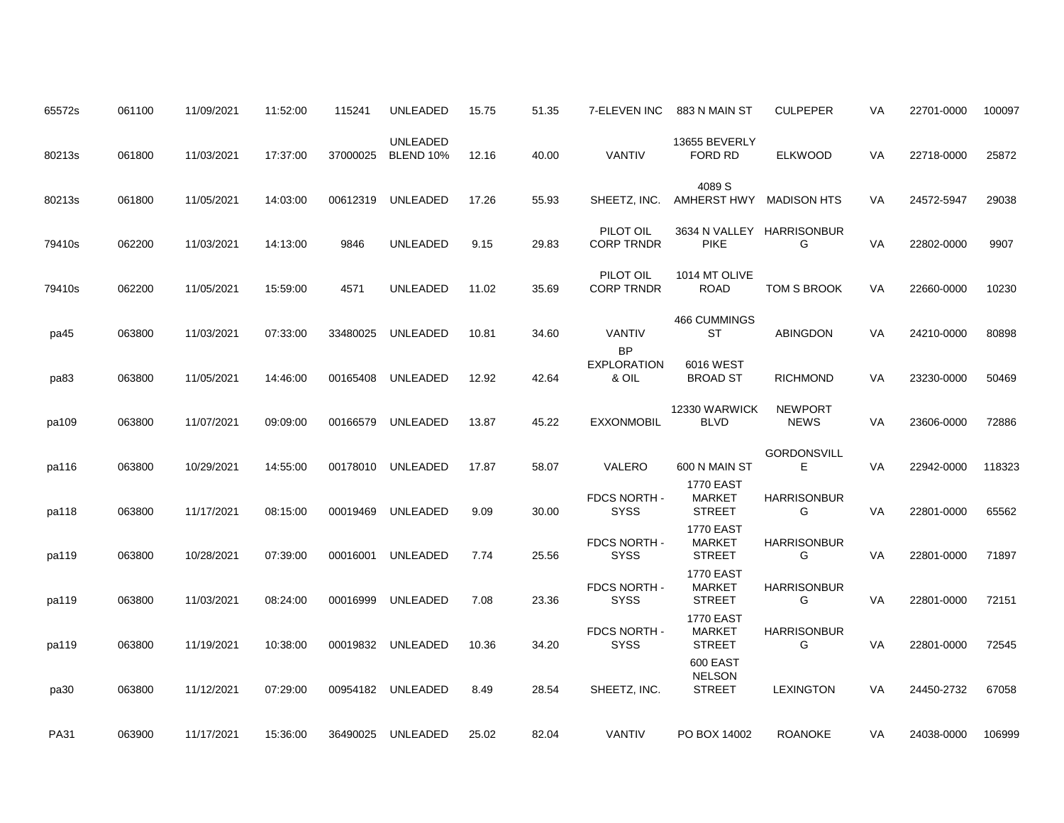| 65572s      | 061100 | 11/09/2021 | 11:52:00 | 115241   | <b>UNLEADED</b>                     | 15.75 | 51.35 | 7-ELEVEN INC                             | 883 N MAIN ST                                      | <b>CULPEPER</b>               | VA | 22701-0000 | 100097 |
|-------------|--------|------------|----------|----------|-------------------------------------|-------|-------|------------------------------------------|----------------------------------------------------|-------------------------------|----|------------|--------|
| 80213s      | 061800 | 11/03/2021 | 17:37:00 | 37000025 | <b>UNLEADED</b><br><b>BLEND 10%</b> | 12.16 | 40.00 | <b>VANTIV</b>                            | 13655 BEVERLY<br>FORD RD                           | <b>ELKWOOD</b>                | VA | 22718-0000 | 25872  |
| 80213s      | 061800 | 11/05/2021 | 14:03:00 | 00612319 | UNLEADED                            | 17.26 | 55.93 | SHEETZ, INC.                             | 4089 S<br>AMHERST HWY                              | <b>MADISON HTS</b>            | VA | 24572-5947 | 29038  |
| 79410s      | 062200 | 11/03/2021 | 14:13:00 | 9846     | <b>UNLEADED</b>                     | 9.15  | 29.83 | PILOT OIL<br><b>CORP TRNDR</b>           | 3634 N VALLEY HARRISONBUR<br><b>PIKE</b>           | G                             | VA | 22802-0000 | 9907   |
| 79410s      | 062200 | 11/05/2021 | 15:59:00 | 4571     | <b>UNLEADED</b>                     | 11.02 | 35.69 | PILOT OIL<br><b>CORP TRNDR</b>           | 1014 MT OLIVE<br><b>ROAD</b>                       | TOM S BROOK                   | VA | 22660-0000 | 10230  |
| pa45        | 063800 | 11/03/2021 | 07:33:00 | 33480025 | UNLEADED                            | 10.81 | 34.60 | <b>VANTIV</b>                            | 466 CUMMINGS<br>ST                                 | ABINGDON                      | VA | 24210-0000 | 80898  |
| pa83        | 063800 | 11/05/2021 | 14:46:00 | 00165408 | <b>UNLEADED</b>                     | 12.92 | 42.64 | <b>BP</b><br><b>EXPLORATION</b><br>& OIL | 6016 WEST<br><b>BROAD ST</b>                       | <b>RICHMOND</b>               | VA | 23230-0000 | 50469  |
| pa109       | 063800 | 11/07/2021 | 09:09:00 | 00166579 | <b>UNLEADED</b>                     | 13.87 | 45.22 | <b>EXXONMOBIL</b>                        | 12330 WARWICK<br><b>BLVD</b>                       | <b>NEWPORT</b><br><b>NEWS</b> | VA | 23606-0000 | 72886  |
| pa116       | 063800 | 10/29/2021 | 14:55:00 | 00178010 | <b>UNLEADED</b>                     | 17.87 | 58.07 | VALERO                                   | 600 N MAIN ST                                      | <b>GORDONSVILL</b><br>Е       | VA | 22942-0000 | 118323 |
| pa118       | 063800 | 11/17/2021 | 08:15:00 | 00019469 | <b>UNLEADED</b>                     | 9.09  | 30.00 | FDCS NORTH -<br><b>SYSS</b>              | <b>1770 EAST</b><br><b>MARKET</b><br><b>STREET</b> | <b>HARRISONBUR</b><br>G       | VA | 22801-0000 | 65562  |
| pa119       | 063800 | 10/28/2021 | 07:39:00 | 00016001 | <b>UNLEADED</b>                     | 7.74  | 25.56 | FDCS NORTH -<br><b>SYSS</b>              | <b>1770 EAST</b><br><b>MARKET</b><br><b>STREET</b> | <b>HARRISONBUR</b><br>G       | VA | 22801-0000 | 71897  |
| pa119       | 063800 | 11/03/2021 | 08:24:00 | 00016999 | <b>UNLEADED</b>                     | 7.08  | 23.36 | FDCS NORTH -<br><b>SYSS</b>              | <b>1770 EAST</b><br><b>MARKET</b><br><b>STREET</b> | <b>HARRISONBUR</b><br>G       | VA | 22801-0000 | 72151  |
| pa119       | 063800 | 11/19/2021 | 10:38:00 | 00019832 | UNLEADED                            | 10.36 | 34.20 | FDCS NORTH -<br><b>SYSS</b>              | <b>1770 EAST</b><br><b>MARKET</b><br><b>STREET</b> | <b>HARRISONBUR</b><br>G       | VA | 22801-0000 | 72545  |
| pa30        | 063800 | 11/12/2021 | 07:29:00 | 00954182 | UNLEADED                            | 8.49  | 28.54 | SHEETZ, INC.                             | 600 EAST<br><b>NELSON</b><br><b>STREET</b>         | <b>LEXINGTON</b>              | VA | 24450-2732 | 67058  |
| <b>PA31</b> | 063900 | 11/17/2021 | 15:36:00 |          | 36490025 UNLEADED                   | 25.02 | 82.04 | <b>VANTIV</b>                            | PO BOX 14002                                       | <b>ROANOKE</b>                | VA | 24038-0000 | 106999 |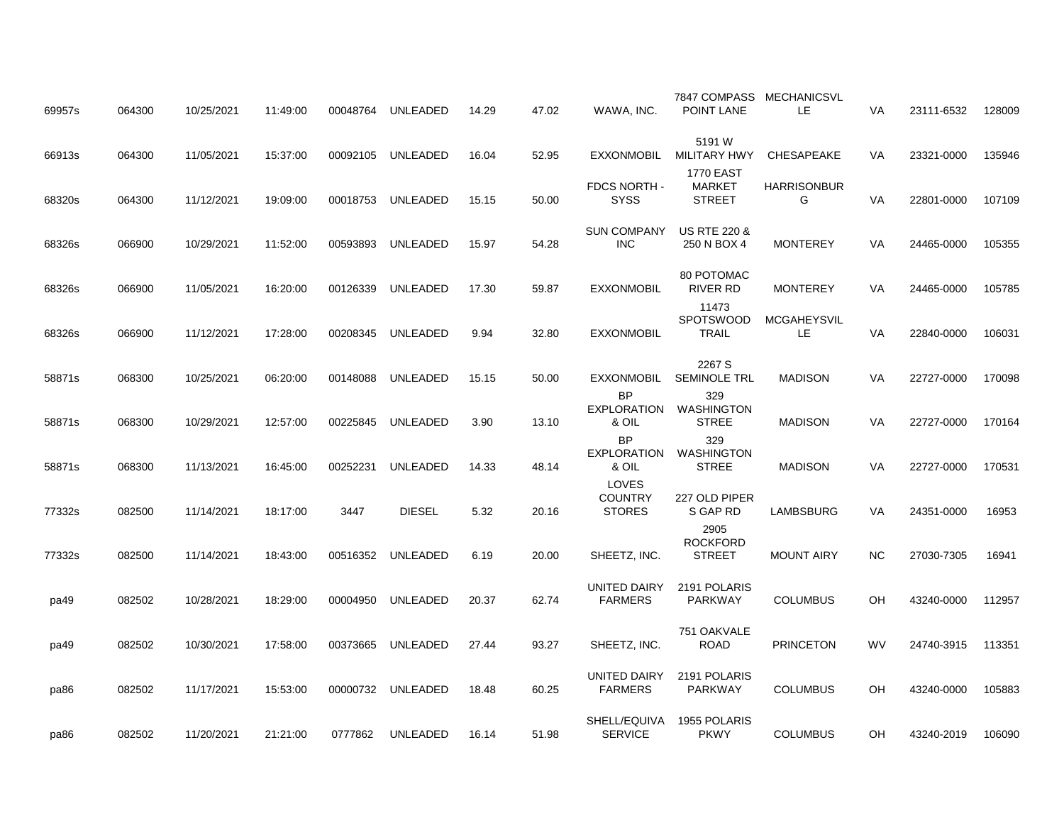| 064300 | 10/25/2021                           | 11:49:00                               | 00048764                         | UNLEADED                         | 14.29                                   | 47.02                   | WAWA, INC.                               | POINT LANE                                                       | LE.                                                      | VA                                                                                 | 23111-6532            | 128009                                 |
|--------|--------------------------------------|----------------------------------------|----------------------------------|----------------------------------|-----------------------------------------|-------------------------|------------------------------------------|------------------------------------------------------------------|----------------------------------------------------------|------------------------------------------------------------------------------------|-----------------------|----------------------------------------|
| 064300 | 11/05/2021                           | 15:37:00                               | 00092105                         | UNLEADED                         | 16.04                                   | 52.95                   | <b>EXXONMOBIL</b>                        | 5191 W<br><b>MILITARY HWY</b>                                    | CHESAPEAKE                                               | VA                                                                                 | 23321-0000            | 135946                                 |
| 064300 | 11/12/2021                           | 19:09:00                               | 00018753                         | <b>UNLEADED</b>                  | 15.15                                   | 50.00                   | FDCS NORTH -<br><b>SYSS</b>              | <b>1770 EAST</b><br><b>MARKET</b><br><b>STREET</b>               | <b>HARRISONBUR</b><br>G                                  | <b>VA</b>                                                                          | 22801-0000            | 107109                                 |
| 066900 | 10/29/2021                           | 11:52:00                               | 00593893                         | UNLEADED                         | 15.97                                   | 54.28                   | <b>SUN COMPANY</b><br><b>INC</b>         | <b>US RTE 220 &amp;</b><br>250 N BOX 4                           | <b>MONTEREY</b>                                          | VA                                                                                 | 24465-0000            | 105355                                 |
| 066900 | 11/05/2021                           | 16:20:00                               | 00126339                         | UNLEADED                         | 17.30                                   | 59.87                   | <b>EXXONMOBIL</b>                        | 80 POTOMAC<br>RIVER RD                                           | <b>MONTEREY</b>                                          | VA                                                                                 | 24465-0000            | 105785                                 |
| 066900 | 11/12/2021                           | 17:28:00                               | 00208345                         | UNLEADED                         | 9.94                                    | 32.80                   | <b>EXXONMOBIL</b>                        | 11473<br>SPOTSWOOD<br><b>TRAIL</b>                               | <b>MCGAHEYSVIL</b><br>LE                                 | VA                                                                                 | 22840-0000            | 106031                                 |
| 068300 | 10/25/2021                           | 06:20:00                               | 00148088                         | <b>UNLEADED</b>                  | 15.15                                   | 50.00                   | EXXONMOBIL                               | 2267 S<br><b>SEMINOLE TRL</b>                                    | <b>MADISON</b>                                           | VA                                                                                 | 22727-0000            | 170098                                 |
| 068300 | 10/29/2021                           | 12:57:00                               | 00225845                         | <b>UNLEADED</b>                  | 3.90                                    | 13.10                   | <b>BP</b><br><b>EXPLORATION</b><br>& OIL | 329<br><b>WASHINGTON</b><br><b>STREE</b>                         | <b>MADISON</b>                                           | VA                                                                                 | 22727-0000            | 170164                                 |
| 068300 | 11/13/2021                           | 16:45:00                               | 00252231                         | <b>UNLEADED</b>                  | 14.33                                   | 48.14                   | <b>BP</b><br>EXPLORATION<br>& OIL        | 329<br>WASHINGTON<br><b>STREE</b>                                | <b>MADISON</b>                                           | VA                                                                                 | 22727-0000            | 170531                                 |
| 082500 | 11/14/2021                           | 18:17:00                               | 3447                             | <b>DIESEL</b>                    | 5.32                                    | 20.16                   | LOVES<br><b>COUNTRY</b><br><b>STORES</b> | 227 OLD PIPER<br>S GAP RD                                        | LAMBSBURG                                                | VA                                                                                 | 24351-0000            | 16953                                  |
|        | 11/14/2021                           | 18:43:00                               | 00516352                         | <b>UNLEADED</b>                  | 6.19                                    |                         |                                          | 2905<br><b>ROCKFORD</b><br><b>STREET</b>                         | <b>MOUNT AIRY</b>                                        | <b>NC</b>                                                                          | 27030-7305            | 16941                                  |
|        |                                      |                                        |                                  |                                  |                                         |                         | UNITED DAIRY                             | 2191 POLARIS                                                     |                                                          |                                                                                    |                       | 112957                                 |
|        |                                      |                                        |                                  |                                  |                                         |                         |                                          | 751 OAKVALE                                                      |                                                          |                                                                                    |                       | 113351                                 |
|        |                                      |                                        |                                  |                                  |                                         |                         | UNITED DAIRY                             | 2191 POLARIS                                                     |                                                          |                                                                                    |                       | 105883                                 |
| 082502 | 11/20/2021                           | 21:21:00                               | 0777862                          | UNLEADED                         | 16.14                                   | 51.98                   | <b>SERVICE</b>                           | 1955 POLARIS<br><b>PKWY</b>                                      | <b>COLUMBUS</b>                                          | OН                                                                                 | 43240-2019            | 106090                                 |
|        | 082500<br>082502<br>082502<br>082502 | 10/28/2021<br>10/30/2021<br>11/17/2021 | 18:29:00<br>17:58:00<br>15:53:00 | 00004950<br>00373665<br>00000732 | <b>UNLEADED</b><br>UNLEADED<br>UNLEADED | 20.37<br>27.44<br>18.48 | 20.00<br>62.74<br>93.27<br>60.25         | SHEETZ, INC.<br><b>FARMERS</b><br>SHEETZ, INC.<br><b>FARMERS</b> | PARKWAY<br><b>ROAD</b><br><b>PARKWAY</b><br>SHELL/EQUIVA | 7847 COMPASS MECHANICSVL<br><b>COLUMBUS</b><br><b>PRINCETON</b><br><b>COLUMBUS</b> | OH<br><b>WV</b><br>OH | 43240-0000<br>24740-3915<br>43240-0000 |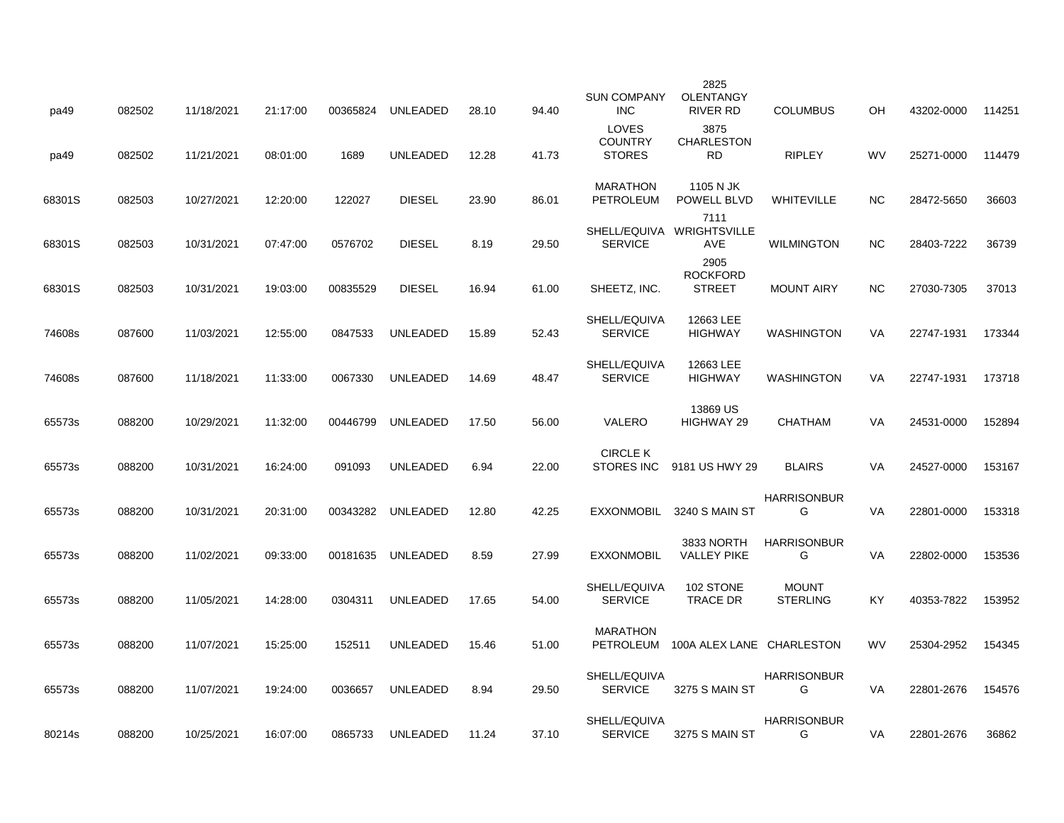| pa49   | 082502 | 11/18/2021 | 21:17:00 | 00365824 | UNLEADED        | 28.10 | 94.40 | <b>SUN COMPANY</b><br><b>INC</b>         | 2825<br><b>OLENTANGY</b><br>RIVER RD     | <b>COLUMBUS</b>                 | OH        | 43202-0000 | 114251 |
|--------|--------|------------|----------|----------|-----------------|-------|-------|------------------------------------------|------------------------------------------|---------------------------------|-----------|------------|--------|
| pa49   | 082502 | 11/21/2021 | 08:01:00 | 1689     | UNLEADED        | 12.28 | 41.73 | LOVES<br><b>COUNTRY</b><br><b>STORES</b> | 3875<br><b>CHARLESTON</b><br><b>RD</b>   | <b>RIPLEY</b>                   | <b>WV</b> | 25271-0000 | 114479 |
| 68301S | 082503 | 10/27/2021 | 12:20:00 | 122027   | <b>DIESEL</b>   | 23.90 | 86.01 | <b>MARATHON</b><br>PETROLEUM             | 1105 N JK<br>POWELL BLVD                 | WHITEVILLE                      | NC.       | 28472-5650 | 36603  |
| 68301S | 082503 | 10/31/2021 | 07:47:00 | 0576702  | <b>DIESEL</b>   | 8.19  | 29.50 | <b>SERVICE</b>                           | 7111<br>SHELL/EQUIVA WRIGHTSVILLE<br>AVE | <b>WILMINGTON</b>               | NC.       | 28403-7222 | 36739  |
| 68301S | 082503 | 10/31/2021 | 19:03:00 | 00835529 | <b>DIESEL</b>   | 16.94 | 61.00 | SHEETZ, INC.                             | 2905<br><b>ROCKFORD</b><br><b>STREET</b> | <b>MOUNT AIRY</b>               | NC.       | 27030-7305 | 37013  |
| 74608s | 087600 | 11/03/2021 | 12:55:00 | 0847533  | <b>UNLEADED</b> | 15.89 | 52.43 | SHELL/EQUIVA<br><b>SERVICE</b>           | 12663 LEE<br><b>HIGHWAY</b>              | <b>WASHINGTON</b>               | VA        | 22747-1931 | 173344 |
| 74608s | 087600 | 11/18/2021 | 11:33:00 | 0067330  | <b>UNLEADED</b> | 14.69 | 48.47 | SHELL/EQUIVA<br><b>SERVICE</b>           | 12663 LEE<br><b>HIGHWAY</b>              | <b>WASHINGTON</b>               | VA        | 22747-1931 | 173718 |
| 65573s | 088200 | 10/29/2021 | 11:32:00 | 00446799 | <b>UNLEADED</b> | 17.50 | 56.00 | VALERO                                   | 13869 US<br>HIGHWAY 29                   | <b>CHATHAM</b>                  | VA        | 24531-0000 | 152894 |
| 65573s | 088200 | 10/31/2021 | 16:24:00 | 091093   | <b>UNLEADED</b> | 6.94  | 22.00 | <b>CIRCLE K</b><br><b>STORES INC</b>     | 9181 US HWY 29                           | <b>BLAIRS</b>                   | VA        | 24527-0000 | 153167 |
| 65573s | 088200 | 10/31/2021 | 20:31:00 | 00343282 | <b>UNLEADED</b> | 12.80 | 42.25 | EXXONMOBIL                               | 3240 S MAIN ST                           | <b>HARRISONBUR</b><br>G         | VA        | 22801-0000 | 153318 |
| 65573s | 088200 | 11/02/2021 | 09:33:00 | 00181635 | UNLEADED        | 8.59  | 27.99 | <b>EXXONMOBIL</b>                        | 3833 NORTH<br><b>VALLEY PIKE</b>         | <b>HARRISONBUR</b><br>G         | VA        | 22802-0000 | 153536 |
| 65573s | 088200 | 11/05/2021 | 14:28:00 | 0304311  | <b>UNLEADED</b> | 17.65 | 54.00 | SHELL/EQUIVA<br><b>SERVICE</b>           | 102 STONE<br><b>TRACE DR</b>             | <b>MOUNT</b><br><b>STERLING</b> | KY        | 40353-7822 | 153952 |
| 65573s | 088200 | 11/07/2021 | 15:25:00 | 152511   | UNLEADED        | 15.46 | 51.00 | <b>MARATHON</b><br>PETROLEUM             | 100A ALEX LANE CHARLESTON                |                                 | <b>WV</b> | 25304-2952 | 154345 |
| 65573s | 088200 | 11/07/2021 | 19:24:00 | 0036657  | UNLEADED        | 8.94  | 29.50 | SHELL/EQUIVA<br><b>SERVICE</b>           | 3275 S MAIN ST                           | <b>HARRISONBUR</b><br>G         | VA        | 22801-2676 | 154576 |
| 80214s | 088200 | 10/25/2021 | 16:07:00 | 0865733  | UNLEADED        | 11.24 | 37.10 | SHELL/EQUIVA<br><b>SERVICE</b>           | 3275 S MAIN ST                           | <b>HARRISONBUR</b><br>G         | VA        | 22801-2676 | 36862  |